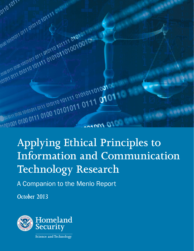

# **Applying Ethical Principles to Information and Communication Technology Research**

A Companion to the Menlo Report

*October 2013*

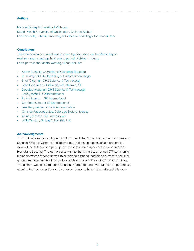# **Authors**

Michael Bailey, University of Michigan David Dittrich, University of Washington, Co-Lead Author Erin Kenneally, CAIDA, University of California San Diego, Co-Lead Author

# **Contributors**

This Companion document was inspired by discussions in the Menlo Report working group meetings held over a period of sixteen months. Participants in the Menlo Working Group include:

- Aaron Burstein, University of California Berkeley
- KC Claffy, CAIDA, University of California San Diego
- Shari Clayman, DHS Science & Technology
- John Heidemann, University of California, ISI
- Douglas Maughan, DHS Science & Technology
- Jenny McNeill, SRI International
- **Peter Neumann, SRI International**
- Charlotte Scheper, RTI International
- Lee Tien, Electronic Frontier Foundation
- Christos Papadopoulos, Colorado State University
- Wendy Visscher, RTI International
- Jody Westby, Global Cyber Risk, LLC

## **Acknowledgments**

This work was supported by funding from the United States Department of Homeland Security, Office of Science and Technology. It does not necessarily represent the views of the authors' and participants' respective employers or the Department of Homeland Security. The authors also wish to thank the dozen or so ICTR community members whose feedback was invaluable to assuring that this document reflects the ground truth sentiments of the professionals at the front lines of ICT research ethics. The authors would like to thank Katherine Carpenter and Sven Dietrich for generously allowing their conversations and correspondence to help in the writing of this work.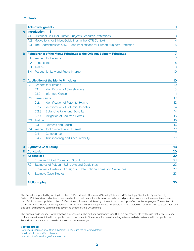#### **Contents**

|   |                                                                                | <b>Acknowledgments</b>                                             |                                                                                | 1  |  |
|---|--------------------------------------------------------------------------------|--------------------------------------------------------------------|--------------------------------------------------------------------------------|----|--|
| A | <b>Introduction</b><br>3                                                       |                                                                    |                                                                                |    |  |
|   | Historical Basis for Human Subjects Research Protections<br>A <sub>1</sub>     |                                                                    |                                                                                |    |  |
|   |                                                                                | Motivations for Ethical Guidelines in the ICTR Context<br>A.2      |                                                                                |    |  |
|   |                                                                                |                                                                    | A.3 The Characteristics of ICTR and Implications for Human Subjects Protection | 5  |  |
| в | <b>Relationship of the Menlo Principles to the Original Belmont Principles</b> |                                                                    |                                                                                |    |  |
|   | B.1                                                                            | <b>Respect for Persons</b>                                         |                                                                                |    |  |
|   | Beneficence<br>B.2                                                             |                                                                    |                                                                                | 8  |  |
|   | <b>B.3</b>                                                                     | <b>Justice</b>                                                     |                                                                                |    |  |
|   | <b>B.4</b>                                                                     | Respect for Law and Public Interest                                | 10                                                                             |    |  |
|   | <b>C</b> Application of the Menlo Principles                                   |                                                                    |                                                                                |    |  |
|   | C.1                                                                            |                                                                    | <b>Respect for Persons</b>                                                     | 10 |  |
|   |                                                                                | C.11                                                               | <b>Identification of Stakeholders</b>                                          | 10 |  |
|   |                                                                                | C <sub>1.2</sub>                                                   | <b>Informed Consent</b>                                                        | 11 |  |
|   | C.2 Beneficence                                                                |                                                                    | 12                                                                             |    |  |
|   |                                                                                | C.21                                                               | <b>Identification of Potential Harms</b>                                       | 12 |  |
|   |                                                                                | C.2.2                                                              | <b>Identification of Potential Benefits</b>                                    | 14 |  |
|   |                                                                                | C.2.3                                                              | <b>Balancing Risks and Benefits</b>                                            | 14 |  |
|   |                                                                                | C.2.4                                                              | <b>Mitigation of Realized Harms</b>                                            | 15 |  |
|   |                                                                                | C.3 Justice                                                        |                                                                                | 16 |  |
|   |                                                                                | C.31                                                               | <b>Fairness and Equity</b>                                                     | 16 |  |
|   |                                                                                | C.4 Respect for Law and Public Interest                            |                                                                                | 17 |  |
|   |                                                                                | C.4.1                                                              | Compliance                                                                     | 17 |  |
|   |                                                                                | C.4.2                                                              | <b>Transparency and Accountability</b>                                         | 17 |  |
| D | <b>Synthetic Case Study</b>                                                    | 18                                                                 |                                                                                |    |  |
| Е | <b>Conclusion</b>                                                              | 20                                                                 |                                                                                |    |  |
| F | <b>Appendices</b>                                                              |                                                                    |                                                                                |    |  |
|   | F.1                                                                            |                                                                    | <b>Example Ethical Codes and Standards</b>                                     | 21 |  |
|   | F <sub>.2</sub>                                                                |                                                                    | Examples of Relevant U.S. Laws and Guidelines                                  | 22 |  |
|   | F <sub>13</sub>                                                                | Examples of Relevant Foreign and International Laws and Guidelines |                                                                                | 22 |  |
|   | F.4                                                                            |                                                                    | <b>Example Case Studies</b>                                                    | 23 |  |
|   | <b>Bibliography</b>                                                            |                                                                    |                                                                                | 30 |  |

This Report is supported by funding from the U.S. Department of Homeland Security Science and Technology Directorate, Cyber Security Division. Points of view and opinions contained within this document are those of the authors and participants and do not necessarily represent the official position or policies of the U.S. Department of Homeland Security or the authors or participants' respective employers. The content of this Report is intended to provide guidance, and it does not constitute legal advice nor should it be interpreted as conflicting with statutory mandates and other authoritative commitments governing actions by the Government.

This publication is intended for information purposes only. The authors, participants, and DHS are not responsible for the use that might be made of the information contained in this publication, or the content of the external sources including external websites referenced in this publication. Reproduction is authorized provided the source is acknowledged.

#### **Contact details:**

For general inquiries about this publication, please use the following details: Email: Menlo\_Report@hq.dhs.gov Internet: http://www.dhs.gov/csd-resources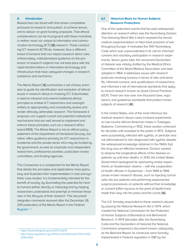#### **A Introduction**

Researchers are faced with time-driven competitive pressures to research and publish, to achieve tenure, and to deliver on grant funding proposals. That ethical considerations can be incongruent with these incentives is neither novel nor unique to information and communication technology (ICT) [59] research. Those conducting ICT research (ICTR) do, however, face a different breed of tensions that can impact research ethics risks. Unfortunately, institutionalized guidance on the protection of research subjects has not kept pace with the rapid transformations in information technology and infrastructure that have catalyzed changes in research substance and mechanics.

The Menlo Report [18] summarizes a set of basic principles to guide the identification and resolution of ethical issues in research about or involving ICT. It illuminates a need to interpret and extend traditional ethical principles to enable ICT researchers and oversight entities to appropriately and consistently assess and render ethically defensible research. The framework it proposes can support current and potential institutional mechanisms that are well served to implement and enforce these principles, such as a research ethics board (REB). The Menlo Report is not an official policy statement of the Department of Homeland Security, but rather, offers guidance primarily for ICT researchers in academia and the private sector who may be funded by the government, as well as corporate and independent researchers, professional societies, publication review committees, and funding agencies.

This Companion is a complement to the Menlo Report that details the principles and applications more granularly and illustrates their implementation in real and synthetic case studies. It is fundamentally intended for the benefit of society, by illuminating the potential for harm to humans (either directly or indirectly) and by helping researchers understand and preempt or minimize these risks in the lifecycle of their research. This document integrates comments received after the December 28, 2011 publication of the Menlo Report in the Federal Register.<sup>1</sup> <sup>2</sup>

# **A.1 Historical Basis for Human Subjects Research Protections**

One of the watershed events that focused widespread attention on research ethics was the Nuremberg Doctors Trial following World War II which revealed the forced medical experimentation on Nazi-held prisoners of war throughout Europe. It motivated the 1947 Nuremberg Code which was unprecedented in its call for informed consent and voluntary participation in research experiments. Seven years later, the renowned Declaration of Helsinki was initially drafted by the Medical Ethics Committee of the World Medical Association and later adopted in 1964. It addresses issues with research protocols involving humans in terms of risks and benefits, informed consent, and qualifications of researchers, and informed a set of international standards that apply to clinical research known as Good Clinical Practices (GCP). There are now over one thousand laws, regulations, and guidelines worldwide that protect human subjects of research [49].

In the United States, one of the most infamous biomedical research abuse cases involved experiments on low income African-American males in Tuskegee, Alabama. Commencing in 1932, these studies continued for decades until revealed to the public in 1972. Subjects were purposefully infected with syphilis, or penicillin was not administered to men diagnosed with syphilis despite the widespread knowledge obtained in the 1940s that the drug was an effective treatment. Doctors wanted to observe the longitudinal effects of the disease on patients up until their deaths. In 2010, the United States Government apologized for sponsoring similar experiments on Guatemalan citizens – with the cooperation of health officials in Guatemala – from 1946 to 1948. Lesser known research abuses, such as injecting cancer cells into live patients and performing experimental surgical procedures on patients without their knowledge or consent (often injurious to the point of death) have made their way into the press and the courts [56].

The U.S. formally responded to these research abuses by passing the National Research Act in 1974, which created the National Commission for the Protection of Human Subjects of Biomedical and Behavioral Research. In 1979 (decades after the Nuremberg Code and the Declaration of Helsinki) the National Commission prepared a document known colloquially as the Belmont Report. Its constructs were formally implemented in Federal regulation in 1981 by the

<sup>1</sup> https://federalregister.gov/a/2011-33231

<sup>2</sup> http://www.regulations.gov/#!documentDetail;D=DHS-2012- 0041-0001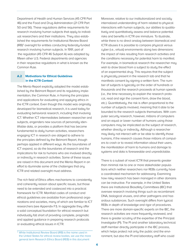Department of Health and Human Services (45 CFR Part 46) and the Food and Drug Administration (21 CFR Part 50 and 56). These regulations define requirements for research involving human subjects that apply to individual researchers and their institutions. They also established the requirements for Institutional Review Board (IRB)<sup>3</sup> oversight for entities conducting federally-funded research involving human subjects. In 1991, part of the regulation (45 CFR 46 Subpart A) was adopted by fifteen other U.S. Federal departments and agencies in their respective regulations in what is known as the Common Rule.

# **A.2 Motivations for Ethical Guidelines in the ICTR Context**

The Menlo Report explicitly adopted the model established by the Belmont Report and its regulatory implementation, the Common Rule, in framing the principles and applications for evaluating and applying ethics in the ICTR context. Even though this model was originally developed for biomedical research, it is used today for evaluating behavioral research, including that involving ICT. Whether ICT intermediates between researcher and subjects, engenders new sources of personally identifiable data, or provides a platform that has become fundamental to daily human activities, researchers engaging ICT in research are obliged to adhere to the principles defined by the Belmont Report, though perhaps applied in different ways. As the boundaries of ICT expand, so do the boundaries of research and the implications for risk to humans who are involved directly or indirectly in research activities. Some of these issues are raised in this document and the Menlo Report in an effort to illuminate some of the challenges that any ICTR and related oversight must address.

The rich field of Ethics offers mechanisms to consistently and coherently reason about specific issues, but those need to be extended and coalesced into a practical framework for ICTR. Manifold codes of conduct and ethical guidelines are available from professional organizations and societies, many of which are familiar to ICT researchers (see Appendix F.1). In aggregate they offer a solid conceptual foundation for ethical research but individually fall short of providing complete, pragmatic and applied guidance in preparing research protocols or evaluating ethical issues in ICTR.

Moreover, relative to our institutionalized and socially internalized understanding of harm related to physical interactions with human subjects, our abilities to qualitatively and quantitatively assess and balance potential risks and benefits in ICTR are immature. To illustrate, while there is no direct analog between biomedical and ICTR abuses it is possible to compare physical versus cyber (i.e., virtual) environments along two dimensions: the impact of risks resulting from research activities and the conditions necessary for potential harm to manifest. For example, in biomedical research the researcher may wish to draw blood from a subject to study the effect of an experimental drug. This requires that the subject is physically present in the research lab and that he manifests consent by signing a written form. The number of subjects is typically on the order of hundreds or thousands and the research proceeds at human speeds (i.e., the time necessary to explain the research protocol, read and sign the consent form, draw the blood, etc.). Quantitatively, the risk is often proportional to the number of subjects involved, meaning that it able to be bounded to the research subjects themselves. With computer security research, however, millions of computers and an equal or lower number of humans using those computers may be implicated as the subject of research, whether directly or indirectly. Although a researcher may likely not interact with or be able to identify those humans, if the research causes those millions of computers to crash or to reveal information about their users, the manifestation of harm to humans and damage to systems and data is foreseeable and unpredictable.

There is a subset of novel ICTR that presents greater than minimal risk to one or more stakeholder populations which neither researchers nor REBs currently have a coordinated mechanism for addressing. Examining how risky research has been managed in other domains can be instructive. For example, in the United States there are Institutional Biosafety Committees (IBC) that oversee research involving things such as recombinant DNA, biological viruses, and other pathogens and hazardous substances. Such oversight differs from typical REBs in depth of knowledge and rigor of procedures. There are more domain-specific experts on the IBC, the research activities are more frequently reviewed, and there is greater scrutiny of the expertise of the Principal Investigator (PI). The PI and another laboratory technical staff member directly participate in the IBC process, which helps protect not only the public and the environment, but also the PI and laboratory staff who could

<sup>&</sup>lt;sup>3</sup> While Institutional Review Board (IRB) is the name used in the United States for ethical review bodies, we use the more general term Research Ethics Board (REB) in this document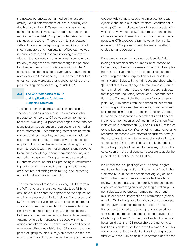themselves potentially be harmed by the research activity. To aid determinations of level of scrutiny and depth of protections, IBCs use mechanisms such as defined Biosafety Levels (BSL) to address containment requirements and Risk Group (RG) categories that classify types of research. There are similarities between self-replicating and self-propagating malicious code that infect computers and manipulation of botnets involved in serious crimes, and research involving biohazards. All carry the potential to harm humans if spread uncontrollably through the environment, though the potential for ultimate harm to humans is less obvious in the ICT context. It may be possible to eventually derive mechanisms similar to those used by IBCs in order to facilitate an ethical review process that is proportional to the risk presented by this subset of higher-risk ICTR.

# **A.3 The Characteristics of ICTR and Implications for Human Subjects Protection**

Traditional human subjects protections arose in response to medical research abuses in contexts that predate contemporary, ICT-pervasive environments. Research involving ICT poses challenges to stakeholder identification (i.e., attribution of sources and intermediaries of information), understanding interactions between systems and technologies, and balancing associated risks and benefits. ICTR is largely driven by needs for empirical data about the technical functioning of and human interactions with information systems and networks to enhance knowledge about information security and network management. Examples include countering ICT threats and vulnerabilities, protecting infrastructures, improving algorithms, creating new applications and architectures, optimizing traffic routing, and increasing national and international security.

The environment of research involving ICT differs from the "offline" environment that naturally lead REBs to assume a human-centered approach to the application and interpretation of ethical principles. The presence of ICT in research activities results in situations of greater scale and more dynamism than those research activities involving direct interactions with human beings. Datasets can be massive and can be combined easily. Automation greatly increases the speed with which actions and effects occur. Communications and actions are decentralized and distributed. ICT systems are composed of tightly coupled subsystems that are difficult to manipulate in isolation, can be can be complex, and are

opaque. Additionally, researchers must contend with dynamic and malicious threat vectors. Research not involving ICT may implicate a few of these characteristics, while the involvement of ICT often raises many of them at the same time. These characteristics taken alone do not justify ICTR exceptionalism, however their confluence within ICTR presents new challenges in ethical evaluation and oversight.

For example, research involving "de-identified" data (biological samples) about humans in the context of large-scale, data-intensive research biological samples has raised active debate in the biomedical research community over the interpretation of Common Rule terms Human Subject, living individual and about whom. "[It] is not clear to what degree humans whose information is involved in such research are research subjects that trigger the regulatory protections. Under the definition in the Common Rule, they are not "research subjects." [54] ICTR shares with the biomedical/behavioral community similar struggles regarding non-human subjects research [9]. For both domains, "[the] only barrier between the de-identified research data and it becoming private information as defined in the Common Rule is an act of re-identification." [9] The risks in ICT research extend beyond just identification of humans, however, to research interactions with information systems in ways that could result in harm to humans. Understanding this complex mix of risks complicates not only the application of the principle of Respect for Persons, but also the calculation of risks and benefits necessary to apply the principles of Beneficence and Justice.

It is unrealistic to expect rigid and unanimous agreement over the interpretation of the terms defined in the Common Rule. In fact, the problemof vaguely defined terms in the Common Rule vis-a-vis effective ethical review has been discussed before. [26] The underlying objective of protecting humans (be they direct subjects, non-subjects, or potentially harmed parties through misuse or abuse of information or information systems) remains. While the application of core ethical concepts for any given case may be fact-specific, the objective can be achieved by adhering to a framework for consistent and transparent application and evaluation of ethical practices. Common use of such a framework helps build trust that ICT researchers are adhering to traditional standards set forth in the Common Rule. This framework enables oversight entities that may not be familiar with the ICTR domain to understand and reason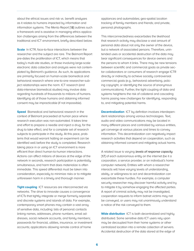about the ethical issues and risk vs. benefit analyses as it relates to humans impacted by information and information systems. The Menlo Report [18] outlines such a framework and is assistive in managing ethics application challenges arising from the differences between the traditional and ICT environment, briefly described below.

**Scale** In ICTR, face-to-face interactions between the researcher and the subject are rare. The Belmont Report pre-dates the proliferation of ICT, which means that today's multi-site studies, or those involving large-scale electronic data collection and analysis were not contemplated by Belmont's guidance. As such, its applications are primarily focused on human-scale biomedical and behavioral research where one-to-one researcher-subject relationships were the norm. ICT research (and data-intensive biomedical studies) may involve data regarding hundreds of thousands to millions of humans. Identifying all of those humans and obtaining informed consent may be impracticable (if not impossible).

**Speed** Biomedical and behavioral research in the context of Belmont proceeded at human pace where research execution was non-automated. It takes time and effort to prepare a needle and inject a drug, for the drug to take effect, and for a complete set of research subjects to participate in the study. At this pace, problems that would warrant halting an experiment can be identified well before the study is completed. Research taking place in or using an ICT environment is more efficient than direct human-to-human interactions. Actions can affect millions of devices at the edge of the network in seconds, research participation is potentially simultaneous, and harm that does materialize is often immediate. This speed differential must be taken into consideration, especially to minimize risks or to mitigate unforeseen harm in a timely and thorough manner.

**Tight coupling** ICT resources are interconnected via networks. The drive to innovate causes a convergence of ICTs that tightly integrate or merge formerly separate and discrete systems and islands of data. For example, contemporary smart phones may contain a vast array of sensitive data, including: lists of personal contacts linking names, addresses, phone numbers, email addresses, social network accounts, and family members; passwords for financial, utilities, insurance, or investment accounts; applications allowing remote control of home

appliances and automobiles; geo-spatial location tracking of family members and friends; and private, personal photographs.

This interconnectedness exacerbates the likelihood that research activity may disclose a vast amount of personal data about not only the owner of the device, but a network of associated persons. Therefore, unintended uses or accidental destruction of the data may bear significant consequences for device owners and the persons to whom it links. There may be new tensions between scientific and commercial goals as private sector collaborators or consumers of research engage ICTR directly or indirectly to achieve socially controversial commercial goals (e.g., behavioral advertising, policing copyright, or identifying the source of anonymous communications). Further, the tight coupling of data and systems heightens the risk of collateral and cascading harms posing new challenges for identifying, responding to, and mitigating potential harms.

**Decentralization** ICT by definition involves interdependent relationships among various technologies. Text, audio and video communications may be located in many different places and controlled by various entities, yet converge at various places and times to convey information. This decentralization can negatively impact research activities that depend on cooperation, such as obtaining informed consent and mitigating actual harms.

A related issue is varying levels of response capacity [17] of each autonomous entity on the internet (be it a corporation, a service provider, or an individual's home computer network). Entities with whom a researcher interacts will have varying levels of understanding, ability, or willingness to act and decentralization can exacerbate these hurdles. For example, a computer security researcher may discover harmful activity and try to mitigate it by somehow engaging the affected parties. A report of criminal activity may not be investigated, cooperation requests to inform botnet victims may not be conveyed, or users may not unanimously understand a notice of the risk conveyed to them.

**Wide distribution** ICT is both decentralized and highly distributed. Some sensitive data ICT users rely upon may be decoupled from their home systems or other centralized location into a remote collection of servers. Accidental destruction of the data stored at the edge of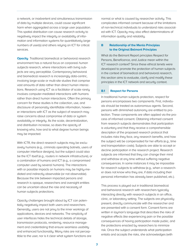a network, or inadvertent and simultaneous transmission of data by multiple devices, could cause significant harm when aggregated across a large user population. This spatial distribution can cause research activity to negatively impact the integrity or availability of information and information systems for quantitatively large numbers of user(s) and others relying on ICT for critical services.

**Opacity** Traditional biomedical or behavioral research environment has a natural focus on corporeal human subjects research, where interactions with living subjects are very perceptible. Contemporary behavioral and biomedical research is increasingly data-centric, involving large-scale or multi-site studies that comprise vast amounts of data rather than direct human interactions. Research using ICT as a facilitator of scale rarely involves computer-mediated interactions with humans rather than direct human interactions. Often the primary concern for these studies is the collection, use, and disclosure of personally identifiable information, however interactions with ICT as the subject of research may raise concerns about compromise of data or system availability or integrity. As the scale, decentralization, and distribution increase, so does the opacity of knowing who, how and to what degree human beings may be impacted.

With ICTR, the direct research subjects may be exclusively humans (e.g., criminals operating botnets, users of computer interface designs), but the subject could also be the ICT itself (e.g., routers in network infrastructure), or a combination of humans and ICT (e.g., a compromised computer used by several humans). The interactions with or possible impacts on humans may be highly-mediated and indirectly observable (or not observable). Because the link between impacted persons and research is opaque, researchers and oversight entities can be uncertain about the role and necessity of human subjects protections.

Opacity challenges brought about by ICT can potentially negatively impact both users and researchers. Generally, users are not privy to the inner workings of applications, devices and networks. The simplicity of user interfaces hides the technical details of storage, transmission protocols, rendering, resource management and credentialing that ensure seamless usability and enhanced functionality. Many risks are not perceptible to the user, nor is it clear what system functions are normal or what is caused by researcher activity. This complicates informed consent because of the limitations of non-technical individuals to understand risks associated with ICT. Opacity may also effect determinations of information quality and reliability.

# **B Relationship of the Menlo Principles to the Original Belmont Principles**

What do the Belmont Report principles Respect for Persons, Beneficence, and Justice mean within the ICT research context? Since these ethical tenets were developed to promote the protection of human subjects in the context of biomedical and behavioral research, this section aims to evaluate, clarify and modify these principles in the ICT network and security context.

## **B.1 Respect for Persons**

In traditional human subjects protection, respect for persons encompasses two components. First, individuals should be treated as autonomous agents. Second, persons with diminished autonomy are entitled to protection. These components are often applied via the process of informed consent. Obtaining informed consent from research subjects demonstrates that participation is voluntary and that they receive a comprehensible description of the proposed research protocol that includes risks they face, any research benefits, and how the subject will be compensated for her efforts (e.g., time and transportation costs). Subjects are able to accept or decline participation in the research project. Research subjects are informed that they can change their mind and withdraw at any time without suffering negative consequences. In some instances it may be impossible for research subjects to withdraw (e.g., when a researcher does not know who they are, if data including their personal information has already been published, etc.).

This process is played out in traditional biomedical and behavioral research with researchers typically interacting directly with research subjects in an office, clinic, or laboratory setting. The subjects are physically present, directly communicate with the researcher and are presented with a consent form. Consent forms are written in layman's language that describes the risks of negative effects like experiencing pain or the possible consequences of having participation made public, and the protections enacted by researchers to minimize risk. Once the subject understands what participation entails and accepts the risks, she acknowledges (with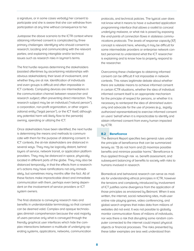a signature, or in some cases verbally) her consent to participate and she is aware that she can withdraw from participation at any time without consequence to her.

Juxtapose the above scenario to the ICTR context where obtaining informed consent is complicated by three primary challenges: identifying who should consent to research; locating and communicating with the relevant parties; and explaining intangible and/or technical issues such as research risks in layman's terms.

The first hurdle requires determining the stakeholders (assisted oftentimes by ascertaining relationships with obvious stakeholders), their level of involvement, and whether they are at risk. Identification of individuals and even groups is difficult and often impossible in ICT contexts. Computing devices are intermediaries in the communication channel between researcher and research subject, often preventing direct interaction. The research subject may be an individual ("natural person"), a corporation, non-profit organization, or other organizational entity ("legal person"), or the ICT itself, although any potential harm will likely flow to the person(s) owning, operating or utilizing the ICT.

Once stakeholders have been identified, the next hurdle is determining the means and methods to communicate with them for the purpose of obtaining consent. In ICT contexts, the at-risk stakeholders are distanced in several ways. They may be logically distant, behind layers of service, network transit, or application platform providers. They may be distanced in space, physically located in different parts of the globe. They may also be distanced temporally, in that the effects from a researcher's actions may have ramifications not only immediately, but sometimes many months after the fact. All of these factors make impracticable direct and immediate communication with them, perhaps even being dependent on the involvement of service providers or ICT system owners.

The final obstacle is conveying research risks and benefits in understandable terminology so that consent can be deemed valid. Complex and opaque technologies diminish comprehension because the vast majority of users perceive only what is conveyed through the friendly graphical user interfaces which hide the complex interactions between a multitude of underlying operating systems, applications, networks, communication protocols, and technical policies. The typical user does not know what it means to have a subverted application programming interface that allows a rootkit to conceal underlying malware, or what risk is posed by exposing the end-points of connection flows in stateless communications protocols. The levels of response capacity [17] concept is relevant here, whereby it may be difficult for some intermediate providers or enterprise network contact personnel to understand what the ICT researcher is explaining and to know how to properly respond to the researcher.

Overcoming these challenges to obtaining informed consent can be difficult if not impossible in network contexts. This raises legitimate debate about whether there are suitable means to achieve informed consent in certain ICTR situations, whether the idea of individual informed consent itself is an appropriate mechanism for the principle of respect for persons, or whether it is necessary to reinterpret the idea of diminished autonomy and advocate for the use of proxies (e.g., legally authorized representatives) to exercise informed consent on users' behalf when it is impracticable to identify and obtain informed consent from every human impacted by ICTR.

# **B.2 Beneficence**

The Belmont Report specifies two general rules under the principle of beneficence that can be summarized tersely as: "(1) do not harm and (2) maximize possible benefits and minimize possible harms." Beneficence is thus applied through risk vs. benefit assessment, and subsequent balancing of benefits to society with risks to humans involved in research.

Biomedical and behavioral research can serve as models for understanding ethical principles in ICTR, however the tensions and complexity introduced by involvement of ICT justifies some divergence from the application of those principles as envisioned by Belmont. When it was written, the internet, social networking sites, multi-user online role playing games, video conferencing, and global search engines that index data from millions of websites did not exist. It was not possible to globally monitor communication flows of millions of individuals, nor was there a risk that disrupting some random computer connected to the internet could impact physical objects or financial processes. The risks presented by these latter examples are less well understood than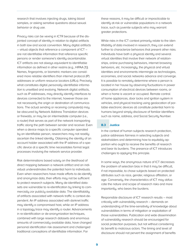research that involves injecting drugs, taking blood samples, or asking sensitive questions about sexual behavior or drug use.

Privacy risks can be vexing in ICTR because of the disjointed concept of identity in relation to digital artifacts in both law and social convention. Many digital artifacts – virtual objects that reference a component of ICT – are not identifiable information that reference specific persons or render someone's identity ascertainable. ICT artifacts are not always equivalent to identifiable information as defined in other realms (e.g., HIPAA [1]). Names, fingerprints, or biometric markers are considered more reliable identifiers than internet protocol (IP) addresses or uniform resource locators (URLs). Precisely what constitutes digital personally identifiable information is unsettled and evolving. Network digital artifacts, such as IP addresses, may directly identify interfaces to devices connected to the internet, however those are not necessarily the origin or destination of communications. The actual sending or receiving computer(s) may be obscured by Network Address Translation devices or firewalls, or may be an intermediate computer (i.e., a router) that serves as part of the network transporting traffic along the path between sender and receiver. Even when a device maps to a specific computer operated by an identifiable person, researchers may not readily ascertain the linked identity. Obtaining the identity of an account holder associated with the IP address of a specific device at a specific time necessitates formal legal processes involving the network service provider.

Risk determinations based solely on the likelihood of direct mapping between a network artifact and an individual underestimates the potential harm to individuals. Even when researchers have made efforts to de-identify and anonymize data, their efforts may not be sufficient to protect research subjects. Many de-identified datasets are vulnerable to re-identification by linking to commercially zor publicly available data. The identifiability of artifacts associated with network traffic is context-dependent. An IP address associated with darknet traffic may identify a compromised host, while an IP address in a topology trace may identify a router. Advancements in re-identification or de-anonymization techniques, combined with large research datasets and enormous amounts of commercially available data, have changed personal identification risk assessment and challenged traditional conceptions of identifiable information. For

these reasons, it may be difficult or impracticable to identify at-risk or vulnerable populations in a network trace, such as juvenile subjects who may warrant greater protections.

While risks in the ICT context primarily relate to the identifiability of data involved in research, they can extend further to characterize behaviors that present other risks. Individuals have both a physical identity and several virtual identities that involve their network of relationships, online purchasing behaviors, internet browsing behaviors, etc. Increasingly, the physical and virtual identities and environments intermingle as technologies, economies, and social networks advance and converge. It is possible to remotely determine where a person is located in her house by observing fluctuations in power consumption of electrical devices between rooms, or when a home is vacant or occupied. Remote control of home appliances, door locks and ignition system in vehicles, and physical tracking using geolocation of portable electronic devices all constitute potential harm to humans beyond simply disclosure of familiar identifiers such as name, address, and Social Security Number.

# **B.3 Justice**

In the context of human subjects research protection, justice addresses fairness in selecting subjects and stakeholders and determining how to equitably apportion who ought to receive the benefits of research and bear its burdens. The presence of ICT introduces challenges to applying this principle.

In some ways, the anonymous nature of ICT decreases the problem of selection bias in that it may be difficult, if not impossible, to chose subjects based on protected attributes such as race, gender, religious affiliation, or age. Conversely, the characteristics of ICT may obfuscate the nature and scope of research risks and more importantly, who bears the burdens.

Responsible disclosure of ICT research results – most critically with vulnerability research – demands an understanding of the time-sensitivity of knowledge about vulnerabilities in terms of mitigation or exploitation of those vulnerabilities. Publication and wide dissemination of vulnerability research should be encouraged for social protection purposes, but not without considering its benefit to malicious actors. The timing and level of disclosure should not pervert the assignment of benefits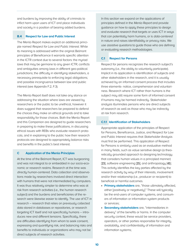and burdens by improving the ability of criminals to inflict harm upon users of ICT and place individuals and society in a position of bearing added burdens.

## **B.4 Respect for Law and Public Interest**

The Menlo Report makes explicit an additional principle named Respect for Law and Public Interest. While its meaning is addressed within the original Belmont principles of Beneficence it warrants specific attention in the ICTR context due to several factors: the myriad laws that may be germane to any given ICTR; conflicts and ambiguities among laws in different geo-political jurisdictions; the difficulty in identifying stakeholders, a necessary prerequisite to enforcing legal obligations; and possible incongruence between law and public interest (see Appendix F.2, F.3).

The Menlo Report itself does not take any stance on addressing the situation where laws are viewed by researchers or the public to be unethical, however it does suggest that researchers be prepared to defend the choices they make on ethical grounds and to take responsibility for those choices. Both the Menlo Report and this Companion are designed to guide researchers in preparing to make these justifications, in discussing ethical issues with REBs who evaluate research protocols, and in explaining to the public how their research protocols are designed to appropriately balance risks and benefits in the public's best interest.

# **C Application of the Menlo Principles**

At the time of the Belmont Report, ICT was burgeoning and was not integral to or embedded in our socio-economic or research realms. Research at the time was directly human-centered. Data collection and observations made by researchers involved direct interaction with humans that were not intermediated by computers. It was thus relatively simpler to determine who was at risk from research activities (i.e., the human research subject) and the burdens and beneficiaries of the research were likewise easier to identify. The use of ICT in research – research that relies on previously collected data stored in databases or repositories, or research targeting ICT itself and not specifically humans – introduces new and different tensions. Specifically, there are difficulties identifying from whom to seek consent, expressing and quantifying risk, and balancing risks and benefits to individuals or organizations who may not be direct subjects of research activities.

In this section we expand on the applications of principles defined in the Menlo Report and provide guidance on how to apply these principles to design and evaluate research that targets or uses ICT in ways that can potentially harm humans, or is data-centered in nature and raises identifiability or privacy risks. We use assistive questions to guide those who are defining or evaluating research methodologies.

## **C.1 Respect for Persons**

Respect for persons recognizes the research subject's autonomy (i.e., the ability to voluntarily participate). Implicit in its application is identification of subjects and other stakeholders in the research, and it is usually achieved by an informed consent process that includes three elements- notice, comprehension and voluntariness. Research where ICT rather than humans is the subject may still require some form of informed consent if humans may be harmed indirectly. Stakeholder analysis illuminates persons who are direct subjects of research as well as those who may be indirectly at risk from research.

# **C.1.1 Identification of Stakeholders**

Appropriate application of the principles of Respect for Persons, Beneficence, Justice, and Respect for Law and Public Interest requires that Stakeholder Analysis must first be performed. This application of Respect for Persons is similarly used as an evaluative method in many fields, such as value sensitive design (a theoretically grounded approach to designing technology that considers human values in a principled manner) [23], software engineering [25], and anthropology [45]. This activity identifies the key parties affected by the research activity by way of their interests, involvement and/or their relationship (i.e., producer or recipient) to beneficial or harmful outcomes.

- **Primary stakeholders** are, "those ultimately affected, either [positively or negatively]." These will typically be the end-users of computer systems, and consumers of information or information system products or services;
- **Secondary stakeholders** are, "intermediaries in delivery" of the benefits or harms. In the computer security context, these would be service providers, operators, or other parties responsible for integrity, availability, and confidentiality of information and information systems;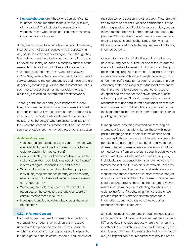• **Key stakeholders** are, "those who can significantly influence, or are important to the success [or failure] of the project." This includes the researcher(s), vendor(s), those who design and implement systems, and criminals or attackers.

It may be confusing to include both beneficial (positively inclined) and malicious (negatively inclined) actors in any particular stakeholders category, even though they both actively contribute to the harm vs. benefit calculus. For example, it may be easier in complex criminal botnet research to derive two distinct sets of key/primary/ secondary stakeholders, those who are positively inclined (e.g., researchers, law enforcement, commercial service providers, the general public), and those who are negatively inclined (e.g., virus authors, botnet controllers, spammers, "bullet-proof hosting" providers who turn a blind eye to criminal activity within their networks).

Thorough stakeholder analysis is important to identifying: the correct entity(s) from whom to seek informed consent; the party(s) who bear the burdens or face risks of research; the party(s) who will benefit from research activity; and, the party(s) who are critical to mitigation in the event that chosen risks come to fruition. For this reason, stakeholders are mentioned throughout this section.

# **Assistive Questions**

- Can you reasonably identify and contact persons who are potentially put at risk from research activities in order to obtain informed consent?
- Can you identify the relationships between all of the stakeholders (both positively and negatively inclined) in terms of rights, responsibilities, and duties?
- Which stakeholder populations (be they groups or individuals) may experience primary and secondary effects through disclosure of vulnerabilities or disruption of operations?
- Who owns, controls, or authorizes the use of ICT resources, or the collection, use and disclosure of data related to those resources?
- Have you identified all vulnerable groups that may be affected?

## **C.1.2 Informed Consent**

Informed consent assures that research subjects who are put at risk through their involvement in research understand the proposed research, the purpose for which they are being asked to participate in research, the anticipated benefits of the research, and the risks of the subject's participation in that research. They are then free to chose to accept or decline participation. These risks may involve identifiability in research data, but can extend to other potential harms. The Menlo Report [18] (Section C.2.1) describes the informed consent process and the situations and mechanisms under which an REB may alter or eliminate the requirement of obtaining informed consent.

Consent for collection of identifiable data that will be held for a long period of time for one research purpose does not translate to re-using that data for another purpose and may require re-consent. To illustrate, in traffic classification research subjects might be willing to volunteer their traffic data for research that could improve efficiency of data delivery or for situational awareness that improves national security, but not for research on optimizing revenue for the network provider or its advertising partners. Similarly, consent for academic researchers to use data in traffic classification research is not consent for an industry trade organization to use the same data to improve their peer-to-peer file-sharing profiling techniques.

In many cases, obtaining informed consent may be impracticable such as with children, those with incompatible language skills, or other forms of diminished autonomy. In these situation, the interests of vulnerable populations must be addressed by alternative means. A researcher may seek alteration or elimination of informed consent from an oversight body through waivers of documentation of informed consent (i.e., requiring individually signed consent forms) and/or waivers of informed consent itself. To obtain such waivers, researchers must clearly explain the risks to stakeholders and why the researcher believes it is impracticable, not just difficult or inconvenient, to obtain consent. Researchers should be prepared to show that the research involves minimal risk, how they are protecting stakeholders in order to justify not first obtaining their consent, and/or provide impacted stakeholders with appropriate information about how they were involved after research has been completed.

Similarly, respecting autonomy through the application of consent is complicated by the intermediated nature of ICT or by data-intensive studies, where the human who is at the other end of the device or is referenced by the data is separated from the researcher in time or space. It may be impracticable for researchers to provide notice,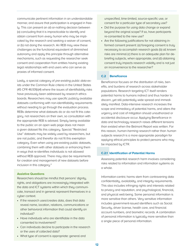communicate pertinent information in an understandable manner, and assure that participation is engaged in freely. This can present an all-or-nothing decision between (a) concluding that it is impracticable to identify and obtain consent from every human who may be implicated by the research and seeking a waiver of consent, or (b) not doing the research. An REB may view these challenges as the functional equivalent of diminished autonomy and apply this principle through alternative mechanisms, such as requesting the researcher seek consent and cooperation from entities having existing legal relationships with end users who can serve as proxies of informed consent.

Lastly, a special category of pre-existing public data exists under the Common Rule criteria in the United States (45 CFR 46.101(b)4) where the issues of identifiability risks have previously been addressed by research ethics boards. Researchers may use specific publicly available datasets conforming with non-identifiability requirements without needing to go through the evaluation process. REBs determine what datasets do or do not fit this category, not researchers on their own, so consultation with the appropriate REB is advised. Simply being available to the public on an open web page does not mean a given dataset fits this category. Special "Restricted Use" datasets may be widely used by researchers, but are not public, and therefor do not fit this exemption category. Even when using pre-existing public datasets, combining them with other datasets or enhancing them in ways that re-identifies individuals is not allowed without REB approval. There may also be requirements for creation and management of new datasets before inclusion in this category.4

#### **Assistive Questions**

Researchers should be mindful that persons' dignity, rights, and obligations are increasingly integrated with the data and ICT systems within which they communicate, transact and in general represent themselves in a cyber context.

- **•** If the research uses/creates data, does that data reveal name, location, relations, communications or other behavioral information that could identify an individual?
- **•** Have individuals who are identifiable in the data consented to involvement?
- **•** Can individuals decline to participate in the research or the uses of collected data?

unspecified, time-limited, source-specific use, or consent for a particular type of secondary use?

- **•** Did the purpose for using data change or expand beyond the original scope? If so, have participants re-consented to the new use?
- **•** Are the following justifications for not obtaining informed consent present: (a) foregoing consent is truly necessary to accomplish research goals (b) all known risks are minimal (c) there is an adequate plan for debriefing subjects, when appropriate, and (d) obtaining consent truly impacts research validity and is not just an inconvenience to the researcher?

## **C.2 Beneficence**

Beneficence focuses on the distribution of risks, benefits, and burdens of research across stakeholder populations. Research targeting ICT itself renders potential harms to humans indirect and thus harder to discern, yet still potentially wide spread and immediately manifest. Data-intensive research increases the scope and immediacy of potential harms, and alters the urgency and cost of mitigation should unauthorized or accidental disclosure occur. Applying Beneficence in data and technology research raises different tensions than existed when the Belmont Report was written. For this reason, human-harming research rather than human subjects research is a more appropriate paradigm for applying ethical principles to protect persons who may be impacted by ICTR.

# **C.2.1 Identification of Potential Harms**

Assessing potential research harm involves considering risks related to information and information systems as a whole.

Information-centric harms stem from contravening data confidentiality, availability, and integrity requirements. This also includes infringing rights and interests related to privacy and reputation, and psychological, financial, and physical well-being. Some personal information is more sensitive than others. Very sensitive information includes government-issued identifiers such as Social Security, driver license, health care, and financial account numbers, and biometric records. A combination of personal information is typically more sensitive than a single piece of personal information.

**•** What type of consent is appropriate: general and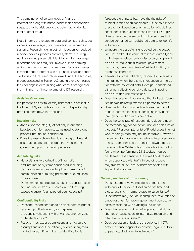The combination of certain types of financial information along with name, address and dateof birth suggest a higher risk due to the potential for identity theft or other fraud.

Not all harms are related to data and confidentiality, but rather, involve integrity and availability of information systems. Research risks in botnet mitigation, embedded medical devices, process control systems, etc., may not involve any personally identifiable information, yet researcher actions may still involve human-harming actions from a number of other non-data related ways in which people interact with ICT. These situations share similarities to that research reviewed under the biosafety model discussed in Section A.2 and further exemplifies the challenge in determining what constitutes "greater than minimal risk" in some emerging ICT research.

## **Assistive Questions**

It is perhaps easiest to identify risks that are present in the face of ICT, so much so as to warrant specifically breaking them down into sections.

#### **Integrity risks**

- Are risks to the integrity of not only information, but also the information systems used to store and process information, considered?
- Does the research involve data quality and integrity risks such as distortion of data that may inform government policy or public perception?

#### **Availability risks**

- Have all risks to availability of information and information systems considered, including disruption due to overloading links, corruption of communication or routing pathways, or exhaustion of resources?
- Do experimental procedures take into consideration nominal use vs. transient spikes in use that may exceed a system's anticipated peak capacity?

## **Confidentiality Risks**

- Does the researcher plan to disclose data as part of research publication (e.g., for purposes of scientific validation) with or without anonymization or de-identification?
- Research has exposed limitations and inaccurate assumptions about the efficacy of data anonymization techniques. If harm from re-identification is

foreseeable or plausible, have the the risks of re-identification been considered? Is the sole means of protection based on anonymization of a defined set of identifiers, such as those listed in HIPAA [1]? How accessible are secondary data sources that can be combined with published data to re-identify individuals?

- **•** What are the possible risks created by the collection, use and/or disclosure of research data? Types of disclosure include: public disclosure, compelled disclosure, malicious disclosure, government disclosure, de-anonymization/re-identification, or erroneous inferences.
- If sensitive data is collected, Respect for Persons is maintained when there is no intervention or interaction with the collected data. Have you considered either not collecting sensitive data, or imposing disclosure and use restrictions?
- Does the research involve data that indirectly identifies and/or indirectly exposes a person to harm?
- How much data is involved and does the quantity of data increase the risk of identifying individuals through correlation with other data?
- Does the sensitivity of research data depend upon the methodology for collection, use, or disclosure of that data? For example, a list of IP addresses in a network topology map may not be sensitive. However, the same information from a network telescope trace of hosts compromised by specific malware may be more sensitive. While publicly available information found when performing a DNS lookup may be be deemed less sensitive, the same IP addresses when associated with traffic in botnet research may transform the level of harm associated with its public disclosure.

#### **Secrecy and lack of transparency**

- Does research involve recording or monitoring individuals' behavior or location across time and place, resulting in harms related to surveillance? Direct harms may include: identity theft, revelation of embarrassing information, government persecution, costs associated with evading surveillance.
- Does the research chill or infringe upon individual liberties or cause users to internalize research and alter their online activities?
- Does deception or lack of transparency in ICTR activities cause physical, economic, legal, reputation, or psychological harm to individuals?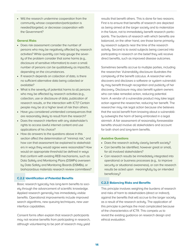• Will the research undermine cooperation from the community whose cooperation/participation is needed/targeted, or decrease cooperation with the Government?

# **General Risks**

- Does risk assessment consider the number of persons who may be negatively affected by research activities? While quantity can help gauge the severity of the problem consider that some harms (e.g., disclosure of sensitive information) to even a small number of persons can be qualitatively as impactful, depending on the circumstances.
- If research depends on collection of data, is there no sufficient alternative data being collected or available?
- What is the severity of potential harms to all persons who may be affected by research activities (e.g., collection, use or disclosure of data, publication of research results, or the interaction with ICT)? Certain people may be at a higher level of risk than others.
- Have you considered unintended consequences that are reasonably likely to result from the research?
- Does the research interfere with any stakeholder's rights to access lawful internet content and use applications of his choice?
- How do answers to the questions above in this section affect the determination of "minimal risk," and how can that assessment be explained to stakeholders in ways they would agree were reasonable? How would an appropriate threshold be defined in ways that conform with existing REB mechanisms, such as Data Safety and Monitoring Plans (DSMPs) overseen by Data Safety and Monitoring Boards (DSMBs), or biohazardous materials research review committees?

# **C.2.2 Identification of Potential Benefits**

Basic research typically has long-term benefits to society through the advancement of scientific knowledge. Applied research generally has immediately visible benefits. Operational improvements include improved search algorithms, new queuing techniques, new user interface capabilities.

Consent forms often explain that research participants may not receive benefits from participating in research, although volunteering to be part of research may yield

results that benefit others. This is done for two reasons. First is to ensure that benefits of research are depicted as being aimed at the larger society and to materialize in the future, not to immediately benefit research participants. The burdens of research with which benefits are balanced, on the other hand, are those borne primarily by research subjects near the time of the research activity. Second is to avoid subjects being coerced into participating in research on the belief they will receive direct benefits, such as improved disease outcomes.

Sometimes benefits accrue to multiple parties, including the researcher. Vulnerability disclosure illustrates the complexity of the benefit calculus. A researcher who discovers and discloses a software or system vulnerability may benefit through recognition and publicity of her discovery. Disclosure may also benefit system owners who can take remedial action, reducing potential harm. A vendor of a vulnerable product may take legal action against the researcher, reducing her benefit. The researcher may risk legal action because she believes that the social benefit from knowing about a vulnerability outweighs the harm of being embroiled in a legal skirmish. A fair assessment of reasonably foreseeable benefits should involve all stakeholders and account for both short and long-term benefits.

## **Assistive Questions**

- Does the research activity clearly benefit society?
- Can benefits be identified, however great or small, for all involved stakeholders?
- Can research results be immediately integrated into operational or business processes (e.g., to improve security or situational awareness), or can the research results be acted upon meaningfully by an intended beneficiary?

## **C.2.3 Balancing Risks and Benefits**

This principle involves weighing the burdens of research and risks of harm to stakeholders (direct or indirect), against the benefits that will accrue to the larger society as a result of the research activity. The application of this principle is perhaps the most complicated because of the characteristics of ICTR. This compels us to revisit the existing guidance on research design and ethical evaluation.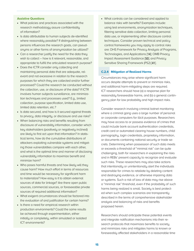# **Assistive Questions**

- What policies and practices associated with the research methodology assure confidentiality of information?
- Is data attributable to human subjects de-identified where reasonably possible? If distinguishing between persons influences the research goals, can pseudonyms or other forms of anonymization be utilized?
- Can a researcher justify the need for the data they wish to collect – how is it relevant, reasonable, and appropriate to fulfill the articulated research purpose?
- Does the ICTR consider only collecting and maintaining personal data that are adequate, relevant and not excessive in relation to the research purposes for which they are collected and/or further processed? Could the research be conducted without the collection, use, or disclosure of the data? If ICTR involves human subjects surveillance, are minimization techniques and processes used? E.g., limited collection, purpose specification, limited data use, limited data retention, etc.?
- Is data secured, and how is it secured against threats to privacy, data integrity, or disclosure and use risks?
- When balancing risks and benefits resulting from disclosure of vulnerability information, consider which key stakeholders (positively or negatively inclined) are likely to first act upon that information? In statistical terms, how do the cumulative distributions of attackers exploiting vulnerable systems and mitigating those vulnerabilities compare with each other, and what is the optimal time and manner of disclosing vulnerability information to maximize benefit and minimize harm?
- Who poses harmful threats and how likely will they cause harm? How much effort in terms of resources and time would be necessary for significant harm to materialize? How easy is it to obtain external sources of data for linkage? Are there open public sources, commercial sources, or foreseeable private sources of required additional information?
- What exigent circumstances should be factored into the evaluation of and justification for certain harms?
- Is there a need for empirical research within production environments? Could the same results be achieved through experimentation, either initially or completely, within simulated or isolated ICT environments?

• What controls can be considered and applied to balance risks with benefits? Examples include: using test environments, anonymization techniques, filtering sensitive data collection, limiting personal data use, or implementing other disclosure control techniques. Consider proven technical and policy control frameworks you may apply to control risks are: DHS Framework for Privacy Analysis of Programs, Technologies, and Applications [14]; OMB Privacy Impact Assessment Guidance [50]; and Privacy Sensitive Sharing Framework (PS2) [41].

## **C.2.4 Mitigation of Realized Harms**

Circumstances may arise where significant harm occurs despite attempts to prevent or minimize risks, and additional harm-mitigating steps are required. ICT researchers should have (a) a response plan for reasonably foreseeable harms, and (b) a general contingency plan for low probability and high impact risks.

Consider research involving criminal botnet monitoring where a criminal gang uses a large number of personal or corporate computers for illicit purposes. Researchers may have access to or possess evidence of crimes that could include bank account authentication credentials, credit card or automated clearing house numbers, child pornography, login credentials, proprietary information, or documents containing national security or trade secrets. Determining when possession of such data meets or exceeds a threshold of "minimal risk" can be quite challenging, both for researchers in explaining the risks and in REBs' present capacity to recognize and evaluate such risks. These researchers may also take actions that intentionally or unintentionally alert the individuals responsible for crimes to retaliate by deleting content and destroying evidence, or otherwise impairing data or systems. Such a risk of loss of data may rise above a "minimal risk" threshold, even if the probability of such harms being realized is small. Society is best protected when such complex scenarios are transparently described in the terms of comprehensive stakeholder analysis and balancing of risks and benefits proposed herein.

Researchers should anticipate these potential events and integrate notification mechanisms into their research protocols that maximizes benefits to society, and minimizes risks and mitigates harms to known or foreseeably affected stakeholders in a reasonable time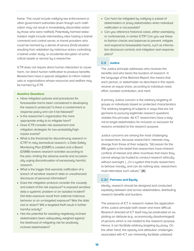frame. This could include notifying law enforcement or other government authorities (even though such notification may not result in immediately discernible action by those who were notified). Potentially harmed stakeholders might include intermediary sites hosting a botnet command and control server, or transit providers who could be harmed by a denial of service (DoS) situation resulting from retaliation by malicious actors controlling a botnet under study, or accidental disruption of some critical assets or service by a researcher.

ICTR does not require direct human interaction to cause harm, nor direct human notification to produce benefits. Researchers have a special obligation to inform individuals or organizations whose resources and welfare may be harmed by ICTR.

## **Assistive Questions**

- Have mitigation policies and procedures for foreseeable harms been considered in developing the research protocols? Is there a containment or response policy and can it be followed?
- Is the researcher's organization the more appropriate entity to to mitigate harm?
- Does ICTR consider risk assessment and mitigation strategies for low-probability/highimpact events?
- What is the threshold for discontinuing research in ICTR? In risky biomedical research, a Data Safety Monitoring Plan (DSMP) is created and a Board (DSMB) reviews research activities according to the plan, limiting the adverse events and occasionally urging discontinuation of excessively harmful research.
- What is the trigger that warrants notification of a breach of sensitive research data or unauthorized disclosure of personal information?
- Does the mitigation protocol consider the cause(s) and extent of the risk exposure? Is exposed sensitive data a systemic problem or an isolated incident? Did data exposure result from external malicious behavior or an un-targeted exposure? Was the data lost or stolen? Will a targeted theft result in further harmful activity?
- Has the potential for assisting negatively inclined stakeholders been adequately weighed against the likelihood of mitigating risk for positively inclined stakeholders?
- Can harm be mitigated by notifying a subset of stakeholders or proxy stakeholders when individual notification is not possible?
- Can you reference historical cases, either exemplary or controversial, in similar ICTR? Can you use these to fashion checks and balances to prevent, mitigate and respond to foreseeable harms, such as information disclosure controls and mitigation and response plans?

# **C.3 Justice**

The Justice principle addresses who receives the benefits and who bears the burdens of research. In the language of the Belmont Report, this means that each person, or stakeholder as described in this report, receive an equal share, according to individual need, effort, societal contribution, and merit.

A primary Justice concern is the arbitrary targeting of groups or individuals based on protected characteristics. The arbitrary targeting of subjects in ways that are not germane to pursuing legitimate research questions violates this principle. All ICT researchers have a duty not to target stakeholders for inclusion or exclusion for reasons unrelated to the research purpose.

Justice concerns are among the most challenging to researchers, because researchers' interests may diverge from those of their subjects. "[A] reason for the IRB system is the belief that researchers have inherent conflicts of interest and other incentives that mean they cannot always be trusted to conduct research ethically without oversight. [...] In a system that trusts researchers to behave morally, and can do nothing else, researchers must internalize such values." [26]

# **C.3.1 Fairness and Equity**

Ideally, research should be designed and conducted equitably between and across stakeholders, distributing research benefits and burdens.

The presence of ICT in research makes the application of the Justice principle both easier and more difficult. Research directed at ICT itself may be predicated on exploiting an attribute (e.g., economically disadvantaged) of persons which is not related to the research purpose. Hence, it can facilitate arbitrary targeting by proxy. On the other hand, the opacity and attribution challenges associated with ICT can inherently facilitate unbiased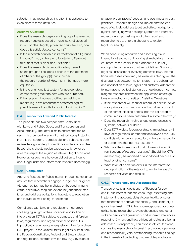selection in all research as it is often impracticable to even discern those attributes.

## **Assistive Questions**

- Does the research target certain groups by selecting research subjects based on race, sex, religious affiliation, or other legally protected attribute? If so, how does this satisfy Justice concerns?
- Is the research equitable in its treatment of all groups involved? If not, is there a rationale for differential treatment that is clear and justifiable?
- Does the research disproportionately benefit select groups? If so, does it accrue to the detriment of others or the group(s) that shoulder the research burdens? How might it be made more equitable?
- Is there a fair and just system for appropriately compensating stakeholders who are burdened?
- If the research involves profiling, surveilling or monitoring, have researchers protected against possible uses of results for social discrimination?

### **C.4 Respect for Law and Public Interest**

This principle has two components: Compliance with Laws and Public Good, and Transparency and Accountability. The latter aims to ensure that the research is grounded in scientific methodology, including that it is transparent, reproducible, and subject to peer review. Navigating legal compliance waters is complex. Researchers should not be expected to know or be able to interpret the myriad of relevant legal provisions. However, researchers have an obligation to inquire about legal risks and inform their research accordingly.

# **C.4.1 Compliance**

Applying Respect for Public Interest through compliance assures that researchers engage in legal due diligence. Although ethics may be implicitly embedded in many established laws, they can extend beyond those strictures and address obligations that relate to reputation and individual well-being, for example.

Compliance with laws and regulations may prove challenging in light of their uncertain application or interpretation. ICTR is subject to domestic and foreign laws, regulations, and organizational policies. It is impractical to enumerate every relevant law for a given ICTR project. In the United States, legal risks stem from the Federal Constitution, Federal and State statutes and regulations, contract law, tort law (e.g., invasion of

privacy), organizations' policies, and even industry best practices. Research design and implementation can more effectively address legal and ethical obligations by first identifying who has legally protected interests, rather than simply asking what a law requires a researcher to do, or forum-shopping to exploit legal uncertainty.

When conducting research and assessing risk in international settings or involving stakeholders in other countries, researchers should adhere to culturally appropriate procedures or other guidelines. Similar to legal risk assessment involving domestic laws, international risk assessment may be even less clear given the discrepancies between nation-states in the substance and application of laws, rights and customs. Adherence to international ethical standards or guidelines may help mitigate research risk when the application of foreign laws are unclear or unsettled. Assistive Questions

- If the researcher will monitor, record, or access individuals' private communications without direct consent of the communicating parties, has the collection of communications been authorized in some other way?
- Does the research involve unauthorized access to systems, networks or data?
- Does ICTR violate federal or state criminal laws, civil laws or regulations, or other nation's laws? If the ICTR conflicts with a law or regulation, is there an exception or agreement that permits research?
- What are the international and bilateral diplomatic ramifications of research activities? Should the ICTR methodology be modified or abandoned because of legal or other concerns?
- What level of discretion exists in the interpretation and application of the relevant law(s) to the specific research activities and results?

#### **C.4.2 Transparency and Accountability**

Transparency is an application of Respect for Law and Public Interest that can encourage assessing and implementing accountability. Accountability ensures that researchers behave responsibly, and ultimately it galvanizes trust in ICTR. Transparency-based accountability helps researchers, oversight entities, and other stakeholders avoid guesswork and incorrect inferences regarding if, when, and how ethical principles are being addressed. Transparency can expose ethical tensions, such as the researcher's interest in promoting openness and reproducibility versus withholding research findings in the interests of protecting a vulnerable population.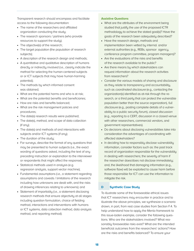Transparent research should encompass and facilitate access to the following documentation:

- The name of the researchers and affiliated organization conducting the study;
- The research sponsors / partners (who provide resources to support the study);
- The objective(s) of the research;
- The target population (the population of research subjects);
- A description of the research design and methods;
- A quantitative and qualitative description of humans directly or indirectly involved (i.e., clearly indicate the method for selecting the human-centered subjects or or ICT subjects that may have human-harming potential);
- The methods by which informed consent was obtained;
- What are the potential harms and who is at risk;
- What are the potential benefits and beneficiaries;
- How are risks and benefits balanced;
- What are the risk management policies and procedures;
- The date(s) research results were published;
- The date(s), method, and scope of data collection (if any);
- The date(s) and methods of and interactions with subjects and/or ICT systems (if any);
- The duration of the study;
- For surveys, describe the format of any questions that may be presented to human subjects (i.e., the exact wording of questions asked, including the text of any preceding instruction or explanation to the interviewer or respondents that might affect the response);
- Statistical methods used in analysis (e.g. regression analysis, support vector machine);
- Fundamental assumptions (i.e., a statement regarding assumptions and caveats / limitations of the research including how unknowns are dealt with, and the risks of drawing inferences relating to unknowns); and
- Statement of impartiality (i.e., a statement disclosing research methods that ensure objectivity at all stages including question formulation, choice of fielding method, interactions and interventions with humans or ICT systems, data collection method, data analysis method, and reporting method).

## **Assistive Questions**

- What are the attributes of the environment being studied that justify the use of the proposed ICTR methodology to achieve the stated goal(s)? Have the goals of the research been adequately described?
- Have the research design, methods and implementation been vetted by internal and/or external authorities (e.g., REBs, sponsor agency, conference program committee, program managers)?
- Are the evaluations of the risks and benefits of the research available to the public?
- Are there means by which stakeholders can request information about the research activities from researchers?
- Consider the various models of sharing and disclosure as they relate to transparency and accountability, such as coordinated disclosure (e.g., contacting the organization(s) identified as at-risk through the research, or a third party that can protect the vulnerable population better than the source organization), full disclosure (e.g., posting complete details of a vulnerability to a public security forum), closed discussion (e.g., reporting to a CERT, discussion in a closed venue with other researchers, commercial vendors, and government representatives).
- Do decisions about disclosing vulnerabilities take into consideration the advantages of coordinating with affected stakeholders?
- In deciding how to responsibly disclose vulnerability information, consider factors such as: the past track record of organization responsible for the vulnerability in dealing with researchers; the severity of harm if the researcher does/does not disclose immediately; and, the likelihood that damaging information (e.g., software flaw) will be exploited to cause harm before those responsible for ICT can use the information to mitigate the risk.

# **D Synthetic Case Study**

To illustrate some of the foreseeable ethical issues that ICT researchers may encounter in practice and to illustrate the above principles, we synthesize a scenario drawn, in part, from real case studies from Section F.4. To help understand how to apply the Menlo framework to this issue-laden example, consider the following questions. Who are the stakeholders involved? What reasonably foreseeable risks exist? What are the intended beneficial outcomes from the researchers' actions? How are the risks and benefits balanced? To ensure your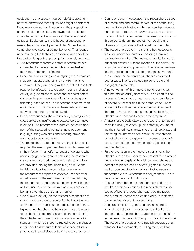evaluation is unbiased, it may be helpful to ascertain how the answers to these questions might be different if you were look at the situation from the perspective of other stakeholders (e.g., the owner of an infected computer) who may be unaware of the researchers' activities. Background: In this hypothetical scenario, researchers at university in the United States begin a comprehensive study of botnet behavior. Their goal is understanding the technical, economic, and social factors that underly botnet propagation, control, and use.

- The researchers create a botnet research testbed, connected to the internet, which enables testbed machines to become infected.
- Experiences collecting and analyzing these samples indicate that attackers test their environments to determine if they are being watched. Often these tests require the infected host to perform some malicious activity (e.g., send spam, infect another host) before downloading new versions of itself or actively participating in the botnet. The researchers construct an environment is which some of these behaviors are allowed and others are disallowed.
- Further experiences show that simply running vulnerable services is insufficient to collect representative infections. The researchers create an active component of their testbed which pulls malicious content (e.g., by visiting web sites and infecting browsers, from peer-to-peer networks).
- The researchers note that many of the links and site required the user to perform the action that resulted in the infection. In an effort to better understand why users engage in dangerous behavior, the researchers construct a experiment in which similar choices are provided. Noting that users may be reluctant to visit harmful sites in a controlled environment, the researchers propose to observe user behavior unbeknownst to the end users. To accomplish this, the researchers create an experiment in which they redirect user queries for known malicious sites to a benign server they control and monitor.
- One allowed activity on the testbed is connection to a command and control server for the botnet, where commands are issued by the attacker to the botnet. By watching this channel the researchers are aware of a subset of commands issued by the attacker to their infected machine. The commands include instances in which bots are instructed to send malicious email, initial a distributed denial of service attack, or propagate the malicious bot software to other hosts.
- During one such investigation, the researchers discover a command and control server for the botnet they are monitoring is hosted on their university's network. They obtain, through their university, access to this command and control server. The researchers monitor this server to determine botnet membership and observe how portions of the botnet are controlled.
- The researchers determine that the botnet collects files from users' computers, depositing them in a central drop location. The malware installation script has a plain text file with the location of the server, the login user name, and password. The researchers use this information to remotely log onto the server and characterize the contents of all the files collected botnet-wide. The files include personal data and copyrighted materials.
- A newer variant of this malware no longer makes this information easily accessible. In an effort to find access to future drop zones, the researchers discover several vulnerabilities in the botnet code. These vulnerabilities allow the researchers to circumvent the protective counter-measures put in place by the attacker and continue to access the drop zone.
- Analysis of the code allows the researcher to hypothesize the ability to clean up the botnet by enumerating the infected hosts, exploiting the vulnerability, and removing the infected code. While the researchers do not take action, they publicly release a proof-ofconcept prototype that demonstrates feasibility of remote cleanup.
- Further evolution in the malware strain shows the attacker moved to a peer-to-peer model for command and control. Analysis of the disk contents shows the botnet has placed copies of copyrighted music as well as personal files from other infected users on the testbed disks. Researchers analyze these files to determine the extent of damage.
- To spur further botnet research and to validate the results in their publications, the researchers release copies of both the researcher-captured malicious code, and the recovered files and data, to restricted communities of security researchers.
- Analysis of this family shows a continuing trend toward sophistication in response to mitigation by the defenders. Researchers hypothesize about future techniques attackers might employ to avoid detection. The researchers suggest and publish several, yet-unwitnessed improvements, including more resilient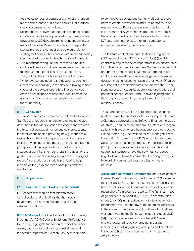topologies for botnet construction, novel encryption mechanisms, and cloud-based services for creation and obfuscation of the malware.

- Researchers discover that the botnet contains code capable of manipulating proprietary process control devices (e.g., SCADA, electronic voting machines, or medical devices). Researchers publish a report that clearly makes this connection as a way of demonstrating that harm in the virtual environment can today also manifest as harm in the physical environment.
- The researchers acquire one of these computercontrolled devices and reverse engineer its operation to understand the abilities of the Botnet code. They publish the capabilities of the botnet code.
- While reverse engineering the device, researchers discover a vulnerability in the device allowing remote abuse of the device's operation. The device operators do not respond to repeated queries from the researcher. The researchers publish the details of the vulnerability.

# **E Conclusion**

This report serves as a companion to the Menlo Report [18]. To assist readers in understanding the principles described in the Menlo Report this document explores the historical context of human subjects protections, the motivations behind providing new guidance to ICT research, and the challenges posed by this research. It also provides additional details on the Menlo Report principles and their applications. This Companion includes a significant number of assistive questions to guide users in understanding the intent of the original report. A synthetic case study is provided to help readers as they explore these principles and their application.

## **F Appendices**

#### **F.1 Example Ethical Codes and Standards**

ICT researchers may be familiar with some ethical codes and guidelines that have been developed. This section provides a survey of selected standards.

**IEEE/ACM standards** The Association of Computing Machinery's (ACM) Code of Ethics and Professional Conduct [5] highlights fundamental ethical considerations, specific professional responsibilities, and leadership imperatives. Section 1 entreats members

to contribute to society and human well-being, avoid harm to others, not to discriminate, to be honest, and respect privacy. Professional responsibilities include instructions that ACM members obey all laws unless there is a compelling ethical basis not to, to access ICT only when authorized, maintain competence, and accept review by the organization.

The Institute of Electrical and Electronics Engineers (IEEE) maintains the IEEE Code of Ethics [30], which contains many of the ACM imperatives in an abbreviated form. The code commits members "to the highest ethical and professional conduct." Members agree to avoid conflicts of interest, be honest, engage in responsible decision making, accept criticism of their work. Of particular interest are their mandates, "to improve the understanding of technology, its appropriate application, and potential consequences," and "to avoid injuring others, their property, reputation, or employment by false or malicious action."

These are certainly not the only ethical codes of conduct for computer professionals. For example, IEEE and ACM have approved a joint Software Engineering Code of Ethics [6] and there are numerous professional organizations with codes whose headquarters are outside the United States (e.g., the Institute for the Management of Information Systems in the UK [?], Australian Computer Society, and Canadian Information Processing Society (CIPS)). In addition some individual companies and academic institutions have their own ethical codes (e.g., Gateway, Texas Instruments, University of Virginia, Howard University), but these are by no means universal.

**Association of Internet Researchers** The Association of Internet Researchers (AoIR) was formed in 1999 to serve the inter-disciplinary Internet research community. AoIR has an Ethics Working Group made up of ethicists and researchers from around the world. The first first set of guidelines, published in 2002 [21] is rich with references (over 50) in a practical format intended to help researchers think about how to make ethical decisions in their research. A more recent draft set of guidelines, was approved by the Ethics Committee in August 2012 [44]. The new guidelines build on the 2002 version and are designed to be general, yet practical, including a set of key guiding principles and questions intended to help researchers work their way through ethical issues.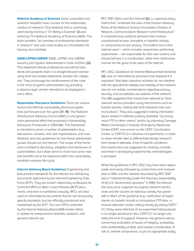**National Academy of Sciences** Some universities and research hospitals have courses on the responsible conduct of research. One textbook that is commonly used during training is "On Being a Scientist" [4] published by The National Academy of Sciences (NAS). This book provides "an overview of professional standards in research" and uses case studies as a foundation for training new scientists.

**SAGE/LOPSA/USENIX** SAGE, LOPSA, and USENIX issued a joint System Administrator's Code of Ethics [55]. This statement blends professional and ethical standards and presents them in a straight-forward manner using brief and simple statements divided into categories. They encourage the reinforcement of the code in the mind of system administrators by providing a diploma style version intended to be displayed in one's office.

**Responsible Disclosure Guidelines** There are various formal and informal vulnerability disclosure guidelines put forward over the years [51, 48]. The National Infrastructure Advisory Council (NIAC) is one government sponsored effort that produced a Vulnerability Disclosure Framework in 2004 [51]. This framework is intended to serve a number of stakeholders (e.g., discoverers, vendors, end user organizations, and coordinators), and sets guidelines for how these stakeholder groups should act and interact. The scope of the framework is limited to discovery, mitigation and disclosure of vulnerabilities, but it does serve to show how some risks and benefits are to be balanced within the vulnerability resolution process life cycle.

**Internet Advisory Board Guidelines** Engineering and best practice standards for the internet are defined by documents approved by the Internet Engineering Task Force (IETF). They are known collectively as Request for Comment (RFC) or Best Current Practice (BCP) documents, and each is numbered uniquely. RFCs are also used as informational documents that do not necessarily specify standards, but are officially sanctioned and maintained by the IETF. Two such RFCs authored by the Internet Advisory Board (IAB) involve ethics in relation to measurement activities, research, and general internet use.

RFC 1087, Ethics and the Internet [32], is a general policy memo that, "endorses the view of the Division Advisory Panel of the National Science Foundation Division of Network, Communications Research and Infrastructure" in characterizing unethical behavior that involves unauthorized access, disruptive or wasteful activity, or compromise of user privacy. The bottom line is that internet users – which includes researchers performing experiments – are responsible for their own actions and should behave in a constructive, rather than destructive, manner for the good of all users of the internet.

RFC 1262, Guidelines for Internet Measurement Activities [33], was an informational document that stressed it is important "that data collection activities do not interfere with the operational viability and stability of the network, and do not violate considerations regarding privacy, security, and acceptable use policies of the network." The IAB suggested that researchers attempt to "alert relevant service providers using mechanisms such as bulletin boards, mailing lists and individual mail communications." They also suggested making information about research methods publicly available "by anonymous FTP or other means" and/or by informing Carnegie Mellon University's Computer Emergency Response Center (CERT, now known as the CERT Coordination Center, or CERT/CC) in advance of experiments, in order to allow remote sites to differentiate benign research from break-in attempts. A list of specific conditions that researchers are suggested to carefully consider and meet in developing experimental methodologies is provided.

While the guidelines in RFC 1262 may have been appropriate and easily followed by researchers and involved sites in 1991, and the network described by RFC 1087 was a "national facility [under the fiduciary responsibility of its] U.S. Government sponsors" in 1989, the internet has long since outgrown its original research-centric roots and the volume of malicious activity has grown with it. Much of the guidance (e.g., notification of experiments via bulletin boards or anonymous FTP sites, or manual detection and/or vetting activity by asking CERT/ CC if they were informed of an experiment taking place) is no longer practical (in fact, CERT/CC no longer provides this kind of support). However, the general advice concerning evaluation of issues of integrity, availability and confidentiality of data, and careful consideration of risk vs. benefit comparisons, is just as appropriate today.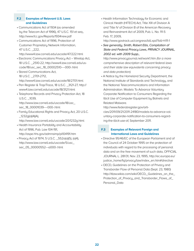# **F.2 Examples of Relevant U.S. Laws and Guidelines**

- Communications Act of 1934 (as amended by the Telecom Act of 1996), 47 U.S.C. 151 et seq., http://www.fcc.gov/Reports/1934new.pdf
- Communications Act of 1996, Protection of Customer Proprietary Network Information, 47 U.S.C. \_222,

http://www4.law.cornell.edu/uscode/47/222.html

- Electronic Communications Privacy Act Wiretap Act, 18 U.S.C. \_2510-22; http://www4.law.cornell.edu/uscode/18/usc\_sec\_18\_00002510----000-.html
- Stored Communications Act, 18 U.S.C. \_2701-2712, http://www4.law.cornell.edu/uscode/18/2701.html
- Pen Register & Trap/Trace, 18 U.S.C. \_3121-27, http:// www4.law.cornell.edu/uscode/18/3121.html
- Telephone Records and Privacy Protection Act, 18 U.S.C. \_1039, http://www.law.cornell.edu/uscode/18/usc\_ sec\_18\_00001039----000-.html
- Family Educational Rights and Privacy Act, 20 U.S.C.  $_1232q(a)(4)(A),$

http://www.law.cornell.edu/uscode/20/1232g.html

- Health Insurance Portability and Accountability Act of 1996, Pub. Law 104-191, http://aspe.hhs.gov/admnsimp/pl104191.htm
- Privacy Act of 1974, 5 U.S.C. \_552a(a)(5), (a(4), http://www.law.cornell.edu/uscode/5/usc\_ sec\_05\_00000552---a000-.html

• Health Information Technology for Economic and Clinical Health (HITECH) Act, Title XIII of Division A and Title IV of Division B of the American Recovery and Reinvestment Act of 2009, Pub. L. No. 111-5 Feb. 17, 2009,

http://www.govtrack.us/congress/bill.xpd?bill=h111-1

• See generally, Smith, Robert Ellis, Compilation of State and Federal Privacy Laws, PRIVACY JOURNAL, 2002 ed. with 2009 Supp.,

http://www.privacyjournal.net/work1.htm (for a more comprehensive description of relevant federal laws and their state law equivalents concerning privacy and data protection).

• A Notice by the Homeland Security Department, the National Institute of Standards and Technology, and the National Telecommunications and Information Administration. Models To Advance Voluntary Corporate Notification to Consumers Regarding the Illicit Use of Computer Equipment by Botnets and Related Malware.

http://www.federalregister.gov/arti-

cles/2011/09/21/2011-24180/models-to-advance-voluntary-corporate-notification-to-consumers-regarding-the-illicit-use-of, September 2011.

# **F.3 Examples of Relevant Foreign and International Laws and Guidelines**

- Directive 95/46/EC of the European Parliament and of the Council of 24 October 1995 on the protection of individuals with regard to the processing of personal data and on the free movement of such data, OFFICIAL JOURNAL L. 281/31, Nov. 23, 1995, http://ec.europa.eu/ justice\_home/fsj/privacy/law/index\_en.htm#directive
- OECD, Guidelines on the Protection of Privacy and Transborder Flow of Personal Data (Sept. 23, 1980) http://itlaw.wikia.com/wiki/OECD,\_Guidelines\_on\_the\_ Protection\_of\_Privacy\_and\_Transborder\_Flows\_of\_ Personal\_Data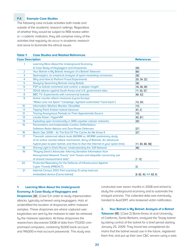# **F.4 Example Case Studies**

The following case include activities both inside and outside of the academic research settings. Regardless of whether they would be subject to REB review within an academic institution, they still comprise many of the activities that regularly do occur in academic research and serve to illuminate the ethical issues.

| rapte i:                | Case Studies and Retated References                                         |                        |
|-------------------------|-----------------------------------------------------------------------------|------------------------|
| <b>Case Description</b> | <b>References</b>                                                           |                        |
| 1                       | Learning More About the Underground Economy:                                |                        |
|                         | A Case-Study of Keyloggers and Dropzones                                    | [28]                   |
| 2                       | Your Botnet is My Botnet: Analysis of a Botnet Takeover                     | [60]                   |
| 3                       | Spamalytics: an empirical analysis of spam marketing conversion             | [38]                   |
| 4                       | Why and How to Perform Fraud Experiments                                    | [35, 34, 22]           |
| 5                       | <b>Studying Spamming Botnets Using Botlab</b>                               | [36]                   |
| 6                       | P2P as botnet command and control: a deeper insight                         | [16, 39, 29]           |
| $\overline{7}$          | DDoS attacks against South Korea and U.S. government sites                  | [19, 52, 57]           |
| 8                       | BBC TV: Experiments with commercial botnets                                 | [40, 53]               |
| 9                       | Active counter-attack measures (Lycos Europe:                               |                        |
|                         | "Make Love not Spam" Campaign, Symbiot automated "hack-back")               | [15, 24]               |
| 10 <sup>°</sup>         | <b>Information Warfare Monitor: GhostNet</b>                                | [13]                   |
| 11                      | Tipping Point: Kraken botnet takeover                                       | [47, 2]                |
| 12                      | <b>Tracing Anonymous Packets to Their Approximate Source</b>                | [10]                   |
| 13                      | LxLabs Kloxo / HyperVM                                                      | [42, 61]               |
| 14                      | Exploiting open functionality in SMS-capable cellular networks              | [20]                   |
| 15                      | Pacemakers and Implantable Cardiac Defibrillators:                          |                        |
|                         | Software Radio Attacks and Zero-Power Defenses                              | [27]                   |
| 16                      | Black Ops 2008 - Its The End Of The Cache As We Know It                     | $[37]$                 |
| 17                      | Theoretic advanced attack tools (WORM vs. WORM: preliminary study           |                        |
|                         | of an active counter-attack mechanism, Army of Botnets, An advanced         |                        |
|                         | hybrid peer-to-peer botnet, and How to Own the Internet in your spare time) | [11, 65, 66, 58]       |
| 18                      | Shining Light in Dark Places: Understanding the ToR Network                 | [46]                   |
| 19                      | "Playing Devil's Advocate: Inferring Sensitive Information from             |                        |
|                         | Anonymized Network Traces" and "Issues and etiquette concerning use         |                        |
|                         | of shared measurement data"                                                 | [7, 12]                |
| 20                      | Protected Repository for the Defense of Infrastructure Against              |                        |
|                         | <b>Cyber Threats (PREDICT)</b>                                              | $[3]$                  |
| 21                      | Internet Census 2012: Port scanning /0 using insecure                       |                        |
|                         | embedded device (Carna botnet)                                              | [8, 62, 43, 64, 63, 8] |

# **Table 1: Case Studies and Related References**

# **1. Learning More About the Underground Economy: A Case-Study of Keyloggers and**

**Dropzones** [28] [Case 1] In order to study impersonation attacks, typically achieved using keyloggers, Holz et al.identified the location of dropzones within malware samples. These dropzones are where captured user keystrokes are sent by the malware to later be retrieved by the malware operators. At these dropzones the researchers discovered 33GB of data from 173,000 compromised computers, containing 10,000 bank account and 149,000 e-mail account passwords. This study was

conducted over seven months in 2008 and aimed to study the underground economy and to automate the analysis process. The collected data was eventually handed to AusCERT, who brokered victim notification.

## **2. Your Botnet is My Botnet: Analysis of a Botnet**

**Takeover** [60] [Case 2] Stone-Gross et al.at University of California, Santa Barbara, analyzed the Torpig botnet by taking control of the botnet for a brief period starting January 25, 2009. They found two unregistered domains that the botnet would use in the future, registered them first, and put up their own C&C servers using a web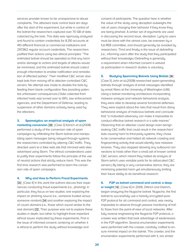services provider known to be unresponsive to abuse complaints. The attackers took control back ten days after the start of the experiment, but while in control of the botnet the researchers captured over 70 GB of data collected by the bots. This data was rigorously analyzed and found to contain credentials for 8,310 accounts at 410 different financial or commercial institutions and 297,962 regular account credentials. The researchers justified their actions using two ethical principles: "The sinkholed botnet should be operated so that any harm and/or damage to victims and targets of attacks would be minimized, and the sinkholed botnet should collect enough information to enable notification and remediation of affected parties." Their modified C&C server also kept bots from moving off to attacker-controlled C&C servers. No attempt was made to disable the bots by feeding them blank configuration files (avoiding potential unforeseen consequences.) Data collected from infected hosts was turned over to ISPs, law enforcement agencies, and the Department of Defense, leading to suspension of other domains actively being used by the attackers.

**3. Spamalytics: an empirical analysis of spam** 

**marketing conversion [**38] [Case 3] Kanich et al.(2008) performed a study of the conversion rate of spam campaigns by infiltrating the Storm botnet and manipulating spam messages being relayed through systems the researchers controlled by altering C&C traffic. They directed users to a fake web site that mirrored web sites advertised using Storm. The ethical considerations used to justify their experiments follow the principle of the use of neutral actions that strictly reduce harm. This was the first time research was performed to learn the conversion rate of spam campaigns.

#### **4. Why and How to Perform Fraud Experiments**

[35] [Case 4] In this work the authors discuss their experiences conducting fraud experiments (i.e., phishing). In particular, they focus on two studies: one exploring the impact on phishing source (i.e., someone trusted versus someone random) [34] and another exploring the impact of cousin domains (i.e., those which sound similar to the real domain) [22]. Their purpose was not to explore these studies in depth, but rather to highlight three important ethical issues implicated by these experiments. First is the issue of informed consent, centering on whether it is ethical to perform the study without knowledge and

consent of participants. The question here is whether the value of the study using deception outweighs the risk of users changing their behavior if they know they are being phished. A similar set of arguments are used in discussing the second issue, deception. Lying to users must be done with the utmost care, be overseen by a full REB committee, and should generally be avoided by researchers. Third and finally is the issue of debriefing (i.e., informing users after the study that they participated without their knowledge.) Debriefing is generally a requirement when informed consent is waived as participation in research studies is voluntary.

## **5. Studying Spamming Botnets Using Botlab** [36]

[Case 5] John et al.(2008) researched spam-generating botnets through analysis of email messages identified by email filters at the University of Washington (UW). Using a botnet monitoring architecture incorporating malware analysis and network behavioral analysis, they were able to develop several functional defenses. They were explicit about the risks that result from doing behavioral analysis of malicious botnets and conclude that "a motivated adversary can make it impossible to conduct effective botnet research in a safe manner." Observing that an attacker could design even benign looking C&C traffic that could result in the researchers' bots causing harm to third-party systems, they chose to be conservative and halted all network crawling and fingerprinting activity that would identify new malware binaries. They also stopped allowing any outbound connections to hosts other than a small set of known central C&C servers, which meant they halted all analysis of Storm (which uses variable ports for its obfuscated C&C servers.) By taking a very conservative stance, they are minimizing potential harm yet simultaneously limiting their future ability to do beneficial research.

## **6. P2P as botnet command and control: a deep-**

**er insight** [16] [Case 6] In 2006, Dittrich and Dietrich, began analyzing the Nugache botnet. Nugache, the first botnet to successfully use a heavily encrypted pure-P2P protocol for all command and control, was nearly impossible to observe through passive monitoring of traffic flows from the point-of-view of local networks. After fully reverse engineering the Nugache P2P protocol, a crawler was written that took advantage of weaknesses in the P2P algorithm. Several enumeration experiments were performed with the crawler, carefully crafted to ensure minimal impact on the botnet. This crawler, and the enumeration experiments performed with it, are similar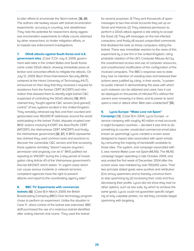to later efforts to enumerate the Storm botnet. [39, 29] The authors cite twokey issues with botnet enumeration experiments: accuracy in counting, and stealthiness. They note the potential for researchers doing aggressive enumeration experiments to inflate counts obtained by other researchers, to hinder mitigation efforts, or to impede law enforcement investigations.

# **7. DDoS attacks against South Korea and U.S.**

**government sites** [Case 7] On July 4, 2009, government web sites in the United States and South Korea came under DDoS attack, drawing immediate press attention and concerted efforts to mitigate the attacks. On July 12, 2009, Bach Khoa Internetwork Security (BKIS), centered at the Hanoi University of Technology (HUT), announced on their blog that they received a request for assistance from the Korean CERT (KrCERT) and information that allowed them to identify eight botnet C&C suspected of controlling the DDoS attacks [19]. BKIS claimed they "fought against C&C servers [and gained] control" of two systems located in the United Kingdom. They remotely retrieved log files and then counted and geolocated over 160,000 IP addresses around the world participating in the botnet. Public disputes erupted over BKIS' actions involving KrCERT, the Asia-Pacific CERT (APCERT), the Vietnamese CERT (VNCERT) and finally the Vietnamese government [52, 57]. A BKIS representative claimed they used common tools and practices to discover the vulnerable C&C servers and that accessing those systems remotely "doesn't require anyone's permission and anybody can do it." BKIS justified not reporting to VNCERT during the 2-day period of investigation citing Article 43 of the Vietnamese government's Decree 64/2007, which states: "In urgent cases which can cause serious incidents or network terrorism, competent agencies have the right to prevent attacks and report to the coordinating agency later."

#### **8. BBC TV: Experiments with commercial**

**botnets** [40] [Case 8] In March 2009, the British Broadcasting Company (BBC) Click technology program chose to perform an experiment. Unlike the situation in Case 11 , direct control of the botnet was exercised. BBC staff purchased the use of a malicious botnet identified after visiting internet chat rooms. They used the botnet

for several purposes: (1) They sent thousands of spam messages to two free email accounts they set up on Gmail and Hotmail; (2) They obtained permission to perform a DDoS attack against a site willing to accept the flood; (3) They left messages on the bot-infected computers; and finally (4) issued unspecified commands that disabled the bots on those computers, killing the botnet. There was immediate reaction to the news of this experiment by a law firm in the United Kingdom, citing probable violation of the UK's Computer Misuse Act by the unauthorized access and use of computer resources, and unauthorized modification of the configuration of the involved computers. The BBC's response was to state they had no intention of violating laws and believed their actions were justified by citing, in their words, "a powerful public interest in demonstrating the ease with which such malware can be obtained and used, how it can be deployed on thousands of infected PCs without the owners even knowing it is there, and its power to send spam e-mail or attack other Web sites undetected" [53].

# **9. Lycos Europe: "Make Love not Spam"**

**Campaign** [15] [Case 9] In 2004, Lycos Europe –a service company with roughly 40 million e-mail accounts in eight European countries – decided it was time to do something to counter unsolicited commercial email (also known as spamming). Lycos created a screen saver designed to impact sites associated with spam emails by consuming the majority of bandwidth available to those sites. The system, and campaign associated with it, was named Make Love not Spam (MLNS). The MLNS campaign began operating in late October 2004, and was ended the first week of December 2004 after the screen saver was installed by over 100,000 users. Their two principle stated goals were punitive and retributive: (1) to annoy spammers and to thereby convince them to stop spamming by (2) increasing their costs and thus decreasing their profits. Lycos did not show they had no other options, such as law suits, by which to achieve the same goals. Lycos could not guarantee specific targeting of only culpable parties, nor did they correlate illegal spamming with targeting.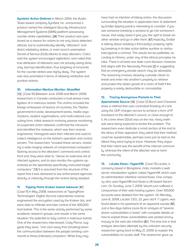**Symbiot: Active Defense** In March 2004, the Austin, Texas based company Symbiot, Inc. announced a product named the Intelligent Security Infrastructure Management Systems (iSIMS) platform possessing counter-strike capabilities. [24] Their product was positioned as a means for victims to not only block detected attacks, but to automatically identify "attackers" and direct retaliatory strikes, or even launch preemptive Denial of Service (DoS) attacks to stop attackers. Critics said the system encouraged vigilantism, and noted that true attribution of attackers was not actually being done, only last-hop identification, thus targeting of innocents for the counter-strikes was highly likely. The system was also promoted in terms of allowing retributive and punitive actions.

#### **10. Information Warfare Monitor: GhostNet**

[13] [Case 10] Between June 2008 and March 2009, researchers in Canada conducted a multi-phase investigation of a malicious botnet. The victims included the foreign embassies of dozens of countries, the Tibetan government-in-exile, development banks, media organizations, student organizations, and multi-national consulting firms. Initial research involving passive monitoring of suspected victim networks confirmed the intrusions and identified the malware, which was then reverse engineered. Honeypots were then infected and used to collect intelligence on the botnet's operation and control servers. The researchers "scouted these servers, revealing a wide-ranging network of compromised computers." Gaining access to the attackers' command and control front end, they were able to, "derive an extensive list of infected systems, and to also monitor the systems operator(s) as the operator(s) specifically instructed target computers." [13] It is assumed from the structure of the report that it was delivered to law enforcement agencies directly or indirectly through the victims being assisted.

#### **11. Tipping Point: Kraken botnet takeover** [47]

[Case 11] In May 2008, researchers at TippingPoint Technologies' Digital Vaccine Laboratories reverse engineered the encryption used by the Kraken bot, and were able to infiltrate and take control of the 400,000 host botnet. This is the same activity performed by some academic research groups, and results in the same situation: the potential to fully control a malicious botnet. One of the researchers interviewed, Cody Pierce, suggests they were, "one click away from [shutting] down the communication between the people sending commands to these [infected] computers." While they may

have had no intention of taking action, the discussion surrounding the situation is applicable here. A statement by Endler (tipping point) is interesting to consider: If you see someone breaking a window to go into someone's house, that really doesn't give you the right to break another window and go in after them. [47] Implicitly, Endler is talking about violating a third-party's property rights by breaking in to take action (either punitive or retributive) against a criminal. This would not be justifiable, according to Himma, under any of the ethical principles he cites. There is at least one state court decision, however, that aligns with the Necessity Principle [2] in suggesting that an emergency private search may be allowable. The reasoning involves allowing a private citizen to break and enter into another's property to retrieve and protect the stolen goods of a victim of theft if the property is easily destructible or concealable.

## **12. Tracing Anonymous Packets to Their**

**Approximate Source** [10] [Case 12] Burch and Cheswick show a method that uses controlled flooding of a link using the UDP chargen service to achieve a form of IP traceback to the attacker's source, or close enough to it. At a time when DDoS was on the rise, many methods were being explored to tackle the problem. The researchers even dedicate a small section at the end to the ethics of their approach: they admit that their method could be questionable, perhaps even just as bad as the attack they were trying to trace. However, they argue that their intent was the benefit of the internet community, whereas the intent of the attacker was to harm the community.

13. **LxLabs Kloxo / HyperVM** [Case 13] LxLabs, a company based in Bangalore, India, markets a web server virtualization system called HyperVM, which uses an administration interface named Kloxo. One company who uses HyperVM and Kloxo is UK-based Vacert. com. On Sunday, June 7, 2009, Vacert.com suffered a compromise of their web hosting system. Over 100,000 accounts were deleted from the system. On Monday, June 8, 2009, LxLabs' CEO, 32 year old K T Ligesh, was found dead in his apartment of an apparent suicide [42]. Just a few days before (June 6) an analysis of "several dozen vulnerabilities in kloxo" with complete details on how to exploit these vulnerabilities was posted anonymously to the web site milw0rm [61]. The time line in that analysis describes attempts by the unknown security researcher going back to May 21, 2009, to explain the vulnerabilities to LxLabs staff. The researcher gave up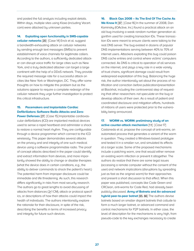and posted the full analysis including exploit details. Within days, multiple sites using Kloxo (including Vacert. com) were attacked by unknown parties.

#### **14. Exploiting open functionality in SMS-capable**

**cellular networks** [20] [Case 14] Enck et al. suggest a bandwidth-exhausting attack on cellular networks by sending enough text messages (SMSs) to prevent establishment of voice channels for legitimate callers. According to the authors, a sufficiently dedicated attacker can disrupt voice traffic for large cities such as New York, and a truly dedicated attacker can target a large continent with the help of a DDoS network. They provide the required message rate for a successful attack on cities like New York or Washington, DC. They offer some thoughts on how to mitigate this problem but as the solutions appear to require a complete redesign of the cellular network they urge further investigation to protect this critical infrastructure.

# **15. Pacemakers and Implantable Cardiac Defibrillators: Software Radio Attacks and Zero-**

**Power Defenses** [27] [Case 15] Implantable cardiovascular defibrillators (ICD) are implanted medical devices used to sense a rapid heartbeat and administer a shock to restore a normal heart rhythm. They are configurable through a device programmer which connect to the ICD wirelessly. This paper demonstrates several attacks on the privacy and and integrity of one such medical device using a software programmable radio. The proof of concept attacks described in the paper could identify and extract information from devices, and more importantly showed the ability to change or disable therapies (what the device does in certain conditions, e.g., the ability to deliver commands to shock the patient's heart.) The potential harm from improper disclosure could be immediate and life threatening. As such, this research differs significantly in risks from most security research. The authors go to great lengths to avoid discussing of attacks from distances (≳1 CM), attack or protocol specifics, or descriptions of how their attacks could impact the health of individuals. The authors intentionally explore the rationale for their disclosure, in spite of the risk, describing the benefits in terms of increased privacy and integrity for future such devices.

**16. Black Ops 2008 – Its The End Of The Cache As**  We Know It<sup>[37]</sup> [Case 16] In the summer of 2008, Dan Kaminsky (IOActive, Inc.) found a practical attack on an old bug involving a weak random number generation algorithm used for creating transaction IDs. These transaction IDs were meant to ensure clients were talking to the real DNS server. The bug existed in dozens of popular DNS implementations serving between 40% to 70% of internet users. Attackers exploiting this bug could poison DNS cache entries and control where victims' computers connected. As DNS is critical to operation of all services on the internet, and plays a key role in a wide variety of trust chains, significant damage could result from widespread exploitation of this bug. Balancing the huge risk, the author intentionally set about the process of notification and correction before publication/presentation at Blackhat, including the controversial step of requesting that other researchers not speculate on the bug or develop attacks of their own. As a result of patient and coordinated disclosure and mitigation efforts, hundreds of millions of users were protected prior to the vulnerability being announced.

# **17. WORM vs. WORM: preliminary study of an**

**active counter-attack mechanism** [11] [Case 17] Castaneda et al. propose the concept of anti-worms, an automated process that generates a variant of the worm in question. They created a Windows-based prototype and tested it in a smaller run, and simulated its effects at a larger scale. Some of the proposed mechanisms include a patching worm, one that would either remove an existing worm infection or prevent it altogether. The authors do realize that there are some legal issues (accessing a remote computer without the consent of the user) and network implications (disruptions by spreading just as fast as the original worm) for their approaches and present a short discussion to that effect. When this paper was published, concepts like Code Green and CRClean, anti-worms for Code Red, had already been publicly discussed. **Army of Botnets and An advanced hybrid peer-to-peer botnet** [65, 66] The authors devise botnets based on smaller disjoint botnets that collude to form a much larger botnet, or advanced command and control mechanisms for P2P botnets. In either case, the level of description for the mechanisms is very high, from pseudo-code to the key exchanges necessary to create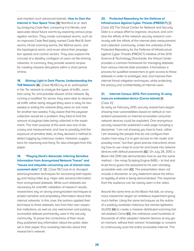and maintain such advanced botnets. **How to Own the Internet in Your Spare Time** [58] Staniford et al. start by analyzing Code Red, comparing it to Nimda, and speculate about future worms by exploring various propagation vectors. They create conceptual worms, such as an improved Code Red (aptly named Code Red II), flash worms, hit-list scanning worms, the Warhol worm, and the topological worm, and muse about their propagation speeds and control vectors. They also explore the concept of a stealthy contagion of users via file-sharing networks. In summary, they provide several recipes for creating massive disruptions within a short period of time.

**18. Shining Light in Dark Places: Understanding the ToR Network** [46] [Case 18] McCoy et al. participated

in the Tor network to analyze the types of traffic, countries using Tor, and possible abuses of the network. By running a modified Tor server, they were able to observe all traffic either being relayed (they were a relay for two weeks) or exiting the network (they were an exit node for another two weeks). Fully aware that the payload collection would be a problem, they tried to limit the amount of payload data being collected in the experiment. The main purpose of the work was one of discovery and measurement, and how to possibly limit the exposure of sensitive data, as they devised a method to detect logging by malicious routers. However, suggestions for improving and fixing Tor also emerged from this paper.

**19. "Playing Devil's Advocate: Inferring Sensitive Information from Anonymized Network Traces" and "Issues and etiquette concerning use of shared measurement data"** [7, 12] [Case 19] Coull et al. divulged deanonymization techniques for recovering both topology and heavy-hitter (e.g. major web servers) information from anonymized datasets. While such datasets are necessary for scientific validation of research results, researchers rely on strong anonymization techniques to protect sensitive and proprietary information about their internal networks. In this case, the authors applied their technique to three datasets, two from their own respective institutions, as well as one well-known and publicly accessible dataset prominently used in the security community. To prove the correctness of their result, they published key information about the public dataset in their paper, thus revealing internals about that researcher's network.

# **20. Protected Repository for the Defense of Infrastructure Against Cyber Threats (PREDICT)** [3]

[Case 20] The Virtual Center for Network and Security Data is a unique effort to organize, structure, and combine the efforts of the network security research community with the efforts of the internet data measurement and collection community. Under the umbrella of the Protected Repository for the Defense of Infrastructure against Cyber Threats (PREDICT) initiative of the DHS Science & Technology Directorate, the Virtual Center provides a common framework for managing datasets from various internet data providers. It formalizes a process for qualified researchers to gain access to these datasets in order to prototype, test, and improve their internet threat mitigation techniques, while protecting the privacy and confidentiality of internet users.

# **21. Internet Census 2012: Port scanning /0 using insecure embedded device (Carna botnet)** [8] [Case 21]

As early as February 2010, security researchers began showing how vulnerabilities based on default or nonexistent passwords on internet-accessible consumer network devices could be exploited. One anonymous security researcher published a web page including a disclaimer, "I am not showing you how to hack, rather I am showing the people that do not configure their routers how easy it is to gain access to into router and possibly more," but then gives precise instructions showing how to use nmap to scan for and break into network devices with default passwords [62]. On July 28, 2010, a Black Hat 2010 talk demonstrates how to use this same method – the nmap Scripting Engine (NSE) – to find and brute-force guess the password to his own remotely accessible web cam [43]. The presentation does not include a disclaimer, or any statement about the ethics or legality of what is being demonstrated. The response from the audience can be clearly seen in the video.

Around the same time as the Black Hat talk, an anonymous researcher began an ambitious experiment going much farther. Using the same techniques as the author of a publicly available malicious bot named lightaidra 0x2012 [64] to create a massive distributed scanning botnet dubbed Carna [63], this individual used hundreds of thousands of other peoples' network devices at any given moment, without their owners' knowledge or consent, to continuously scan the entire accessible internet. This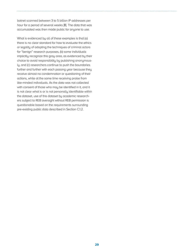botnet scanned between 3 to 5 billion IP addresses per hour for a period of several weeks [8]. The data that was accumulated was then made public for anyone to use.

What is evidenced by all of these examples is that (a) there is no clear standard for how to evaluate the ethics or legality of adopting the techniques of criminal actors for "benign" research purposes, (b) some individuals implicitly recognize this gray area, as evidenced by their choice to avoid responsibility by publishing anonymously, and (c) researchers continue to push the boundaries further and further with each passing year because they receive almost no condemnation or questioning of their actions, while at the same time receiving praise from like-minded individuals. As the data was not collected with consent of those who may be identified in it, and it is not clear what is or is not personally identifiable within the dataset, use of this dataset by academic researchers subject to REB oversight without REB permission is questionable based on the requirements surrounding pre-existing public data described in Section C.1.2.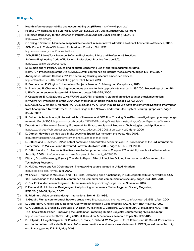#### **Bibliography**

- [1] **Health information portability and accountability act (HIPAA).** http://www.hipaa.org/
- [2] **People v. Williams, 53 Misc. 2d 1086, 1090, 281 N.Y.S.2d 251, 256 (Syracuse City Ct. 1967).**
- [3] **Protected Repository for the Defense of Infrastructure Against Cyber Threats (PREDICT).**  http://www.predict.org
- [4] **On Being a Scientist: A Guide to Responsible Conduct in Research: Third Edition. National Academies of Science, 2009.**
- [5] **ACM Council. Code of Ethics and Professional Conduct, Oct. 1992.**  http://www.acm.org/about/code-of-ethics
- [6] **ACM/IEEE-CS Joint Task Force on Software Engineering Ethics and Professional Practices. Software Engineering Code of Ethics and Professional Practice (Version 5.2).** http://www.acm.org/about/se-code
- [7] **M. Allman and V. Paxson. Issues and etiquette concerning use of shared measurement data. In IMC '07: Proceedings of the 7th ACM SIGCOMM conference on Internet measurement, pages 135–140, 2007.**
- [8] **Anonymous. Internet Census 2012: Port scanning /0 using insecure embedded devices.** http://internetcensus2012.bitbucket.org/paper.html, **March 2013**.
- [9] **K. Brothers and E. Clayton. "Human Non-Subjects Research": Privacy and Compliance, 2010.**
- [10] **H. Burch and B. Cheswick. Tracing anonymous packets to their approximate source. In LISA '00: Proceedings of the 14th USENIX conference on System Administration, pages 319–328, 2000.**
- [11] **F. Castaneda, E. C. Sezer, and J. Xu. WORM vs.WORM: preliminary study of an active counter-attack mechanism. In WORM '04: Proceedings of the 2004 ACM Workshop on Rapid Malcode, pages 83–93, 2004.**
- [12] **S. E. Coull, C. V. Wright, F. Monrose, M. P. Collins, and M. K. Reiter. Playing Devil's Advocate: Inferring Sensitive Information from Anonymized Network Traces. In Proceedings of the Network and Distributed System Security Symposium, pages 35–47, 2007.**
- [13] **R. Deibert, A. Manchanda, R. Rohozinski, N. Villeneuve, and G.Walton. Tracking GhostNet: Investigating a cyber espionage network, March 2009.** http://www.scribd.com/doc/13731776/Tracking-GhostNet-Investigating-a-Cyber-Espionage-Network
- [14] **Department of Homeland Security. Framework for Privacy Analysis of Programs, Technologies, and Applications.** http://www.dhs.gov/xlibrary/assets/privacy/privacy\_advcom\_03-2006\_framework.pdf, **March 2006**.
- [15] **D. Dittrich. How bad an idea was 'Make Love Not Spam?' Let me count the ways, Mar. 2005**. http://staff.washington.edu/dittrich/arc/workshop/lycos-response-v3.txt
- [16] **D. Dittrich and S. Dietrich. P2P as botnet command and control: a deeper insight. In Proceedings of the 3rd International Conference On Malicious and Unwanted Software (Malware 2008), pages 46–63, Oct. 2008.**
- [17] **D. Dittrich and K. E. Himma. Active Response to Computer Intrusions. Chapter 182 in Vol. III, Handbook of Information Security, 2005.** http://papers.ssrn.com/sol3/papers.cfm?abstract\_id=790585
- [18] **Dittrich, D. and Kenneally, E. (eds.). The Menlo Report: Ethical Principles Guiding Information and Communication Technology Research.**
- [19] **N. M. Duc. Korea and US DDoS attacks: The attacking source located in United Kingdom.** http://blog.bkis.com/?p=718, **July 2009.**
- [20] **W. Enck, P. Traynor, P. McDaniel, and T. La Porta. Exploiting open functionality in SMS-capablecellular networks. In CCS '05: Proceedings of the 12th ACM conference on Computer and communications security, pages 393–404, 2005**.
- [21] **C. Ess. Ethical decision-making and Internet research.** http://aoir.org/?page\_id=54**, November 2002.**
- [22] **P. Finn and M. Jakobsson. Designing ethical phishing experiments. Technology and Society Magazine, IEEE, 26(1):46–58, Spring 2007.**
- [23] **B. Friedman. Value-sensitive design. interactions, 3(6):16–23, 1996.**
- [24] S**. Gaudin. Plan to counterattack hackers draws more fire.** http://www.internetnews.com/article.php/3335811, **April 2004.**
- [25] **D. Gotterbarn, K. Miller, and S. Rogerson. Software Engineering Code of Ethics. CACM, 40(11):110–118, Nov. 1997.**
- [26] **C. K. Gunsalus, E. Bruner, N. Burbules, L. D. Dash, M. M. Finkin, J. Goldberg, W. Greenough, G. Miller, and M. G. Pratt. The Illinois White Paper – Improving the System for Protecting Human Subjects: Counteracting "Mission Creep".** http://ssrn.com/abstract=902995, **May 2006. U Illinois Law & Economics Research Paper No. LE06-016.**
- [27] **D. Halperin, T. Heydt-Benjamin, B. Ransford, S. Clark, B. Defend, W. Morgan, K. Fu, T. Kohno, and W. Maisel. Pacemakers and implantable cardiac defibrillators: Software radio attacks and zero-power defenses. In IEEE Symposium on Security and Privacy, pages 129–142, May 2008.**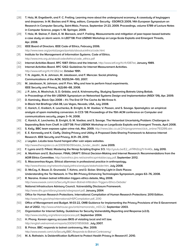- [28] **T. Holz, M. Engelberth, and F. C. Freiling. Learning more about the underground economy: A casestudy of keyloggers and dropzones. In M. Backes and P. Ning, editors, Computer Security - ESORICS 2009, 14th European Symposium on Research in Computer Security, Saint-Malo, France, September 21-23, 2009. Proceedings, volume 5789 of Lecture Notes in Computer Science, pages 1–18. Springer, 2009.**
- [29] **T. Holz, M. Steiner, F. Dahl, E. W. Biersack, and F. Freiling. Measurements and mitigation of peer-topeer-based botnets: a case study on storm worm. In LEET'08: First USENIX Workshop on Large-Scale Exploits and Emergent Threats, Apr. 2008.**
- [30] **IEEE Board of Directors. IEEE Code of Ethics, February 2006.** http://www.ieee.org/portal/pages/iportals/aboutus/ethics/code.html
- [31] **Institute for the Management of Information Systems. Code of Ethics.** http://www.imis.org.uk/about/codeofethics/code\_ethics.pdf
- [32] **Internet Activities Board. RFC 1087: Ethics and the Internet.** http://www.ietf.org/rfc/rfc1087.txt, **January 1989.**
- [33] **Internet Activities Board. RFC 1262: Guidelines for Internet Measurement Activities.** http://www.ietf.org/rfc/rfc1262.txt, **October 1991.**
- [34] **T. N. Jagatic, N. A. Johnson, M. Jakobsson, and F. Menczer. Social phishing. Communications of the ACM, 50(10):94–100, 2007.**
- [35] **M. Jakobsson, N. Johnson, and P. Finn. Why and how to perform fraud experiments. IEEE Security and Privacy, 6(2):66–68, 2008.**
- [36] **J. P. John, A. Moshchuk, S. D. Gribble, and A. Krishnamurthy. Studying Spamming Botnets Using Botlab. in Proceedings of the 6th USENIX Symposium on Networked Systems Design and Implementation (NSDI '09), Apr. 2009.**
- [37] **D. Kaminsky. Black Ops 2008 It's The End Of The Cache As We Know It. In Black Hat Briefings USA 08, Las Vegas, Nevada, USA, July 2008.**
- [38] **C. Kanich, C. Kreibich, K. Levchenko, B. Enright, G. M. Voelker, V. Paxson, and S. Savage. Spamalytics: an empirical analysis of spam marketing conversion. In CCS '08: Proceedings of the 15th ACM conference on Computer and communications security, pages 3–14, 2008.**
- [39] **C. Kanich, K. Levchenko, B. Enright, G. M. Voelker, and S. Savage. The Heisenbot Uncertainty Problem: Challenges in Separating Bots from Chaff. In LEET'08: First USENIX Workshop on LargeScale Exploits and Emergent Threats, April 2008.**
- [40] **S. Kelly. BBC team exposes cyber crime risk, Mar. 2009.** http://news.bbc.co.uk/2/hi/programmes/click\_online/7932816.stm
- [41] **E. E. Kenneally and K. Claffy. Dialing Privacy and Utility: A Proposed Data-Sharing Framework to Advance Internet Research. IEEE Security and Privacy, 8:31–39, 2010.**
- [42] **J. Leyden. LxLabs boss found hanged after vuln wipes websites.** http://www.theregister.co.uk/2009/06/09/lxlabs\_funder\_death/, **June 2009.**
- [43] **F. Lyons and D. Fifield. Mastering the Nmap Scripting Engine 3/3.** http://youtu.be/E2\_uhTRN3Ug?t=1m40s, **July 2010.**
- [44] **A. Markham and E. Buchanan. FINAL DRAFT: Ethical Decision-Making and Internet Research: Recommendations from the AOIR Ethics Committee.** http://aoirethics.ijire.net/aoirethicsprintablecopy.pdf, **September 2012.**
- [45] **S. Mascarenhas-Keyes. Ethical dilemmas in professional practice in anthropology.**  http://www.theasa.org/networks/apply/ethics/analysis/stakeholder.htm, **July 2008.**
- [46] **D. McCoy, K. Bauer, D. Grunwald, T. Kohno, and D. Sicker. Shining Light in Dark Places: Understanding the Tor Network. In The 8th Privacy Enhancing Technologies Symposium, pages 63–76, 2008.**
- [47] **R. Naraine. Kraken botnet infiltration triggers ethics debate, May 2008.** http://www.eweek.com/c/a/Security/Kraken-Botnet-Infiltration-Triggers-Ethics-Debate/
- [48] **National Infrastructure Advisory Council. Vulnerability Disclosure Framework.** http://www.dhs.gov/xlibrary/assets/vdwgreport.pdf, **January 2004**.
- [49] **Office for Human Research Protections. International Compilation of Human Research Protections: 2010 Edition.** http://www.hhs.gov/ohrp/international/HSPCompilation.pdf, 2010
- [50] **Office of Management and Budget. M-03-22, OMB Guidance for Implementing the Privacy Provisions of the E-Government Act of 2002.** http://www.whitehouse.gov/omb/memoranda\_m03-22, **September 2003.**
- [51] **Organization for Internet Safety. Guidelines for Security Vulnerability Reporting and Response (v2.0).** http://www.oisafety.org/reference/process.pdf, **September 2004.**
- [52] **H. Phong. Korean agency accuses BKIS of violating local and int'l law.**  http://english.vietnamnet.vn/reports/2009/07/859068/, **July 2007.**
- [53] **B. Prince. BBC responds to botnet controversy, Mar. 2009.** http://www.eweek.com/c/a/Security/BBC-Responds-to-Botnet-Controversy/
- [54] **M. A. Rothstein. Is Deidentification Sufficient to Protect Health Privacy in Research?, 2010.**